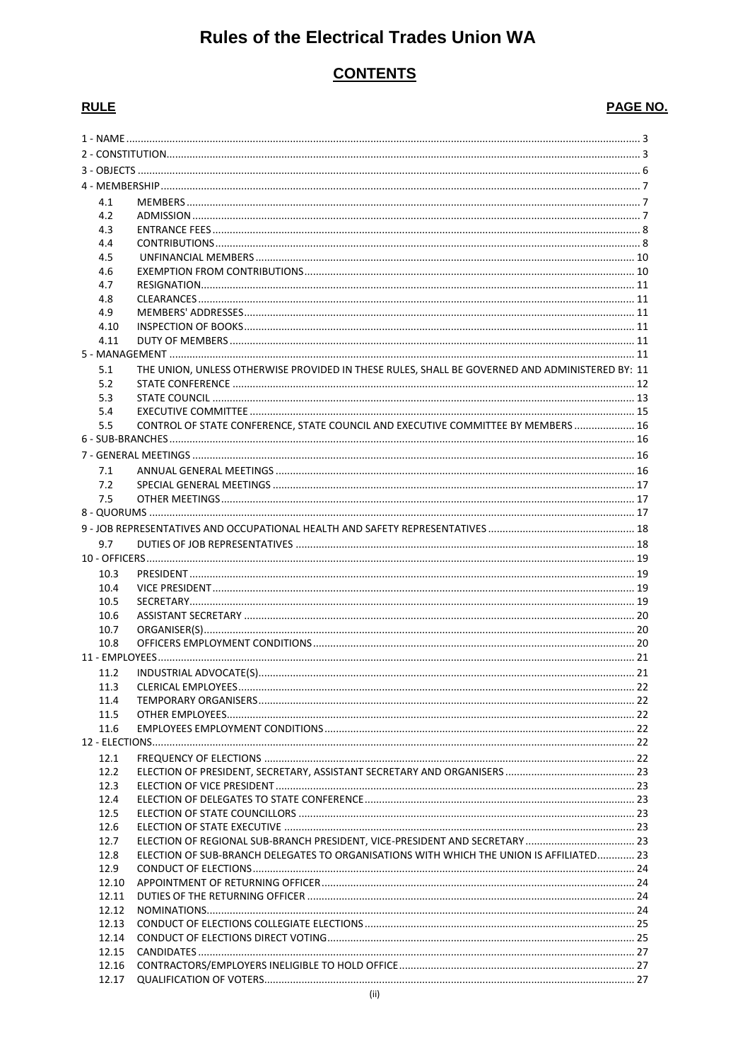# **Rules of the Electrical Trades Union WA**

# **CONTENTS**

# **RULE**

# PAGE NO.

| 4.1        |                                                                                                |  |  |  |
|------------|------------------------------------------------------------------------------------------------|--|--|--|
| 4.2        |                                                                                                |  |  |  |
| 4.3        |                                                                                                |  |  |  |
| 4.4        |                                                                                                |  |  |  |
| 4.5        |                                                                                                |  |  |  |
| 4.6        |                                                                                                |  |  |  |
| 4.7        |                                                                                                |  |  |  |
| 4.8        |                                                                                                |  |  |  |
| 4.9        |                                                                                                |  |  |  |
| 4.10       |                                                                                                |  |  |  |
| 4.11       |                                                                                                |  |  |  |
|            |                                                                                                |  |  |  |
|            |                                                                                                |  |  |  |
| 5.1<br>5.2 | THE UNION, UNLESS OTHERWISE PROVIDED IN THESE RULES, SHALL BE GOVERNED AND ADMINISTERED BY: 11 |  |  |  |
| 5.3        |                                                                                                |  |  |  |
| 5.4        |                                                                                                |  |  |  |
| 5.5        | CONTROL OF STATE CONFERENCE, STATE COUNCIL AND EXECUTIVE COMMITTEE BY MEMBERS  16              |  |  |  |
|            |                                                                                                |  |  |  |
|            |                                                                                                |  |  |  |
|            |                                                                                                |  |  |  |
| 7.1        |                                                                                                |  |  |  |
| 7.2        |                                                                                                |  |  |  |
| 7.5        |                                                                                                |  |  |  |
|            |                                                                                                |  |  |  |
|            |                                                                                                |  |  |  |
|            |                                                                                                |  |  |  |
| 9.7        |                                                                                                |  |  |  |
|            |                                                                                                |  |  |  |
| 10.3       |                                                                                                |  |  |  |
| 10.4       |                                                                                                |  |  |  |
| 10.5       |                                                                                                |  |  |  |
| 10.6       |                                                                                                |  |  |  |
| 10.7       |                                                                                                |  |  |  |
| 10.8       |                                                                                                |  |  |  |
|            |                                                                                                |  |  |  |
|            |                                                                                                |  |  |  |
| 11.2       |                                                                                                |  |  |  |
| 11.3       |                                                                                                |  |  |  |
| 11.4       |                                                                                                |  |  |  |
| 11.5       |                                                                                                |  |  |  |
| 11.6       |                                                                                                |  |  |  |
|            |                                                                                                |  |  |  |
| 12.1       |                                                                                                |  |  |  |
| 12.2       |                                                                                                |  |  |  |
| 12.3       |                                                                                                |  |  |  |
| 12.4       |                                                                                                |  |  |  |
| 12.5       |                                                                                                |  |  |  |
|            |                                                                                                |  |  |  |
| 12.6       |                                                                                                |  |  |  |
| 12.7       |                                                                                                |  |  |  |
| 12.8       | ELECTION OF SUB-BRANCH DELEGATES TO ORGANISATIONS WITH WHICH THE UNION IS AFFILIATED 23        |  |  |  |
| 12.9       |                                                                                                |  |  |  |
| 12.10      |                                                                                                |  |  |  |
| 12.11      |                                                                                                |  |  |  |
| 12.12      |                                                                                                |  |  |  |
| 12.13      |                                                                                                |  |  |  |
| 12.14      |                                                                                                |  |  |  |
| 12.15      |                                                                                                |  |  |  |
| 12.16      |                                                                                                |  |  |  |
| 12.17      |                                                                                                |  |  |  |
|            |                                                                                                |  |  |  |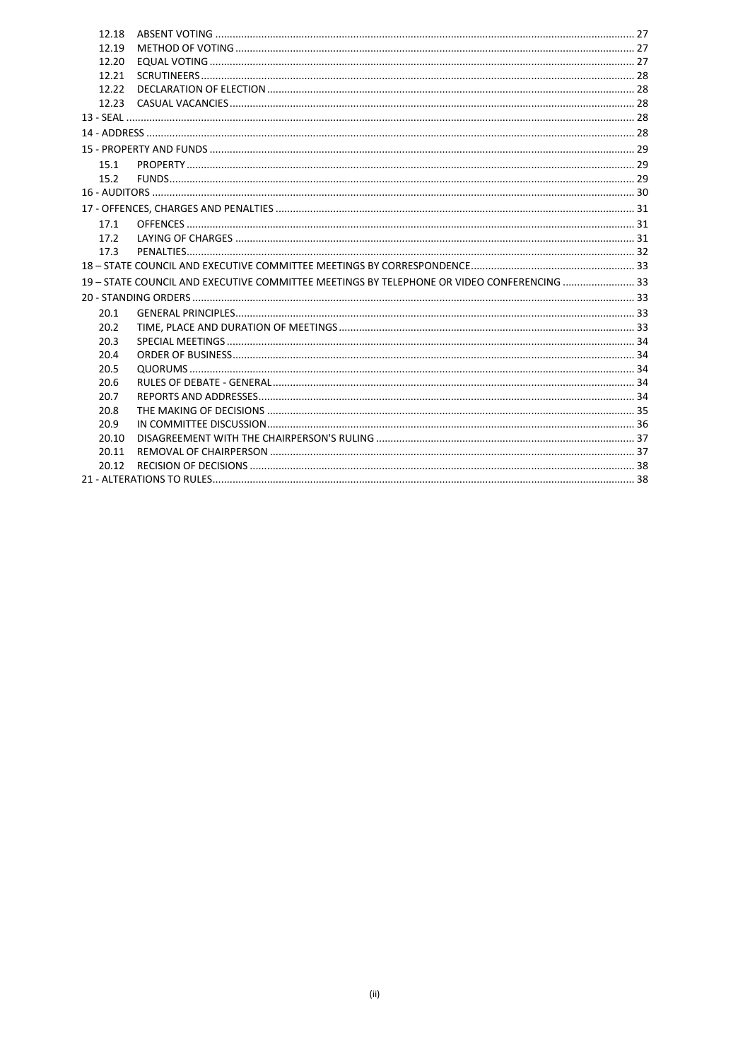| 12.18 |                                                                                            |  |  |  |  |
|-------|--------------------------------------------------------------------------------------------|--|--|--|--|
| 12.19 |                                                                                            |  |  |  |  |
| 12.20 |                                                                                            |  |  |  |  |
| 12.21 |                                                                                            |  |  |  |  |
| 12.22 |                                                                                            |  |  |  |  |
| 12.23 |                                                                                            |  |  |  |  |
|       |                                                                                            |  |  |  |  |
|       |                                                                                            |  |  |  |  |
|       |                                                                                            |  |  |  |  |
| 15.1  |                                                                                            |  |  |  |  |
| 15.2  |                                                                                            |  |  |  |  |
|       |                                                                                            |  |  |  |  |
|       |                                                                                            |  |  |  |  |
| 17.1  |                                                                                            |  |  |  |  |
| 17.2  |                                                                                            |  |  |  |  |
| 17.3  |                                                                                            |  |  |  |  |
|       |                                                                                            |  |  |  |  |
|       | 19 - STATE COUNCIL AND EXECUTIVE COMMITTEE MEETINGS BY TELEPHONE OR VIDEO CONFERENCING  33 |  |  |  |  |
|       |                                                                                            |  |  |  |  |
| 20.1  |                                                                                            |  |  |  |  |
| 20.2  |                                                                                            |  |  |  |  |
| 20.3  |                                                                                            |  |  |  |  |
| 20.4  |                                                                                            |  |  |  |  |
| 20.5  |                                                                                            |  |  |  |  |
| 20.6  |                                                                                            |  |  |  |  |
| 20.7  |                                                                                            |  |  |  |  |
| 20.8  |                                                                                            |  |  |  |  |
| 20.9  |                                                                                            |  |  |  |  |
| 20.10 |                                                                                            |  |  |  |  |
| 20.11 |                                                                                            |  |  |  |  |
| 20.12 |                                                                                            |  |  |  |  |
|       |                                                                                            |  |  |  |  |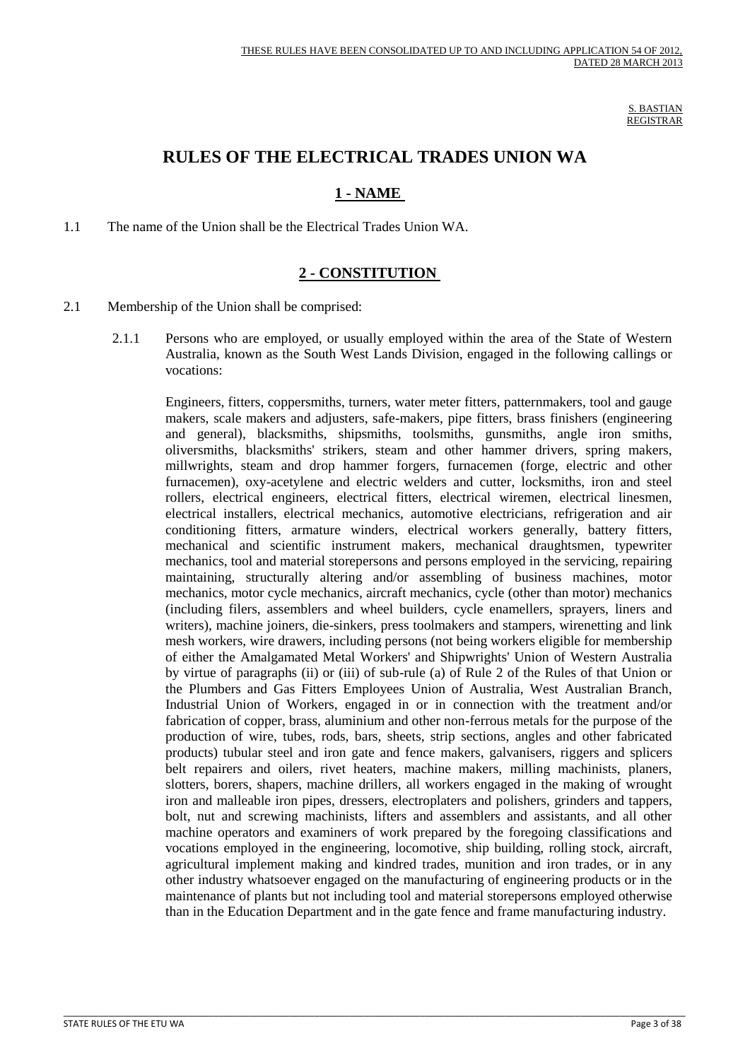S. BASTIAN REGISTRAR

# **RULES OF THE ELECTRICAL TRADES UNION WA**

# **1 - NAME**

<span id="page-2-0"></span>1.1 The name of the Union shall be the Electrical Trades Union WA.

# **2 - CONSTITUTION**

- <span id="page-2-1"></span>2.1 Membership of the Union shall be comprised:
	- 2.1.1 Persons who are employed, or usually employed within the area of the State of Western Australia, known as the South West Lands Division, engaged in the following callings or vocations:

 Engineers, fitters, coppersmiths, turners, water meter fitters, patternmakers, tool and gauge makers, scale makers and adjusters, safe-makers, pipe fitters, brass finishers (engineering and general), blacksmiths, shipsmiths, toolsmiths, gunsmiths, angle iron smiths, oliversmiths, blacksmiths' strikers, steam and other hammer drivers, spring makers, millwrights, steam and drop hammer forgers, furnacemen (forge, electric and other furnacemen), oxy-acetylene and electric welders and cutter, locksmiths, iron and steel rollers, electrical engineers, electrical fitters, electrical wiremen, electrical linesmen, electrical installers, electrical mechanics, automotive electricians, refrigeration and air conditioning fitters, armature winders, electrical workers generally, battery fitters, mechanical and scientific instrument makers, mechanical draughtsmen, typewriter mechanics, tool and material storepersons and persons employed in the servicing, repairing maintaining, structurally altering and/or assembling of business machines, motor mechanics, motor cycle mechanics, aircraft mechanics, cycle (other than motor) mechanics (including filers, assemblers and wheel builders, cycle enamellers, sprayers, liners and writers), machine joiners, die-sinkers, press toolmakers and stampers, wirenetting and link mesh workers, wire drawers, including persons (not being workers eligible for membership of either the Amalgamated Metal Workers' and Shipwrights' Union of Western Australia by virtue of paragraphs (ii) or (iii) of sub-rule (a) of Rule 2 of the Rules of that Union or the Plumbers and Gas Fitters Employees Union of Australia, West Australian Branch, Industrial Union of Workers, engaged in or in connection with the treatment and/or fabrication of copper, brass, aluminium and other non-ferrous metals for the purpose of the production of wire, tubes, rods, bars, sheets, strip sections, angles and other fabricated products) tubular steel and iron gate and fence makers, galvanisers, riggers and splicers belt repairers and oilers, rivet heaters, machine makers, milling machinists, planers, slotters, borers, shapers, machine drillers, all workers engaged in the making of wrought iron and malleable iron pipes, dressers, electroplaters and polishers, grinders and tappers, bolt, nut and screwing machinists, lifters and assemblers and assistants, and all other machine operators and examiners of work prepared by the foregoing classifications and vocations employed in the engineering, locomotive, ship building, rolling stock, aircraft, agricultural implement making and kindred trades, munition and iron trades, or in any other industry whatsoever engaged on the manufacturing of engineering products or in the maintenance of plants but not including tool and material storepersons employed otherwise than in the Education Department and in the gate fence and frame manufacturing industry.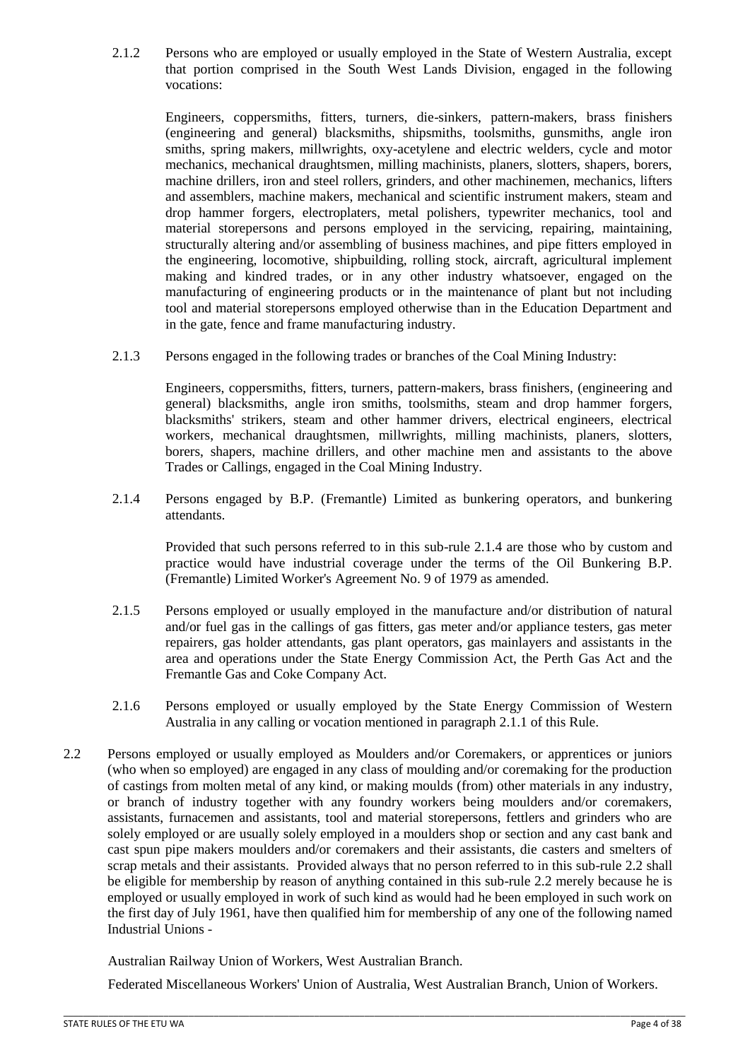2.1.2 Persons who are employed or usually employed in the State of Western Australia, except that portion comprised in the South West Lands Division, engaged in the following vocations:

 Engineers, coppersmiths, fitters, turners, die-sinkers, pattern-makers, brass finishers (engineering and general) blacksmiths, shipsmiths, toolsmiths, gunsmiths, angle iron smiths, spring makers, millwrights, oxy-acetylene and electric welders, cycle and motor mechanics, mechanical draughtsmen, milling machinists, planers, slotters, shapers, borers, machine drillers, iron and steel rollers, grinders, and other machinemen, mechanics, lifters and assemblers, machine makers, mechanical and scientific instrument makers, steam and drop hammer forgers, electroplaters, metal polishers, typewriter mechanics, tool and material storepersons and persons employed in the servicing, repairing, maintaining, structurally altering and/or assembling of business machines, and pipe fitters employed in the engineering, locomotive, shipbuilding, rolling stock, aircraft, agricultural implement making and kindred trades, or in any other industry whatsoever, engaged on the manufacturing of engineering products or in the maintenance of plant but not including tool and material storepersons employed otherwise than in the Education Department and in the gate, fence and frame manufacturing industry.

2.1.3 Persons engaged in the following trades or branches of the Coal Mining Industry:

 Engineers, coppersmiths, fitters, turners, pattern-makers, brass finishers, (engineering and general) blacksmiths, angle iron smiths, toolsmiths, steam and drop hammer forgers, blacksmiths' strikers, steam and other hammer drivers, electrical engineers, electrical workers, mechanical draughtsmen, millwrights, milling machinists, planers, slotters, borers, shapers, machine drillers, and other machine men and assistants to the above Trades or Callings, engaged in the Coal Mining Industry.

2.1.4 Persons engaged by B.P. (Fremantle) Limited as bunkering operators, and bunkering attendants.

 Provided that such persons referred to in this sub-rule 2.1.4 are those who by custom and practice would have industrial coverage under the terms of the Oil Bunkering B.P. (Fremantle) Limited Worker's Agreement No. 9 of 1979 as amended.

- 2.1.5 Persons employed or usually employed in the manufacture and/or distribution of natural and/or fuel gas in the callings of gas fitters, gas meter and/or appliance testers, gas meter repairers, gas holder attendants, gas plant operators, gas mainlayers and assistants in the area and operations under the State Energy Commission Act, the Perth Gas Act and the Fremantle Gas and Coke Company Act.
- 2.1.6 Persons employed or usually employed by the State Energy Commission of Western Australia in any calling or vocation mentioned in paragraph 2.1.1 of this Rule.
- 2.2 Persons employed or usually employed as Moulders and/or Coremakers, or apprentices or juniors (who when so employed) are engaged in any class of moulding and/or coremaking for the production of castings from molten metal of any kind, or making moulds (from) other materials in any industry, or branch of industry together with any foundry workers being moulders and/or coremakers, assistants, furnacemen and assistants, tool and material storepersons, fettlers and grinders who are solely employed or are usually solely employed in a moulders shop or section and any cast bank and cast spun pipe makers moulders and/or coremakers and their assistants, die casters and smelters of scrap metals and their assistants. Provided always that no person referred to in this sub-rule 2.2 shall be eligible for membership by reason of anything contained in this sub-rule 2.2 merely because he is employed or usually employed in work of such kind as would had he been employed in such work on the first day of July 1961, have then qualified him for membership of any one of the following named Industrial Unions -

Australian Railway Union of Workers, West Australian Branch.

Federated Miscellaneous Workers' Union of Australia, West Australian Branch, Union of Workers.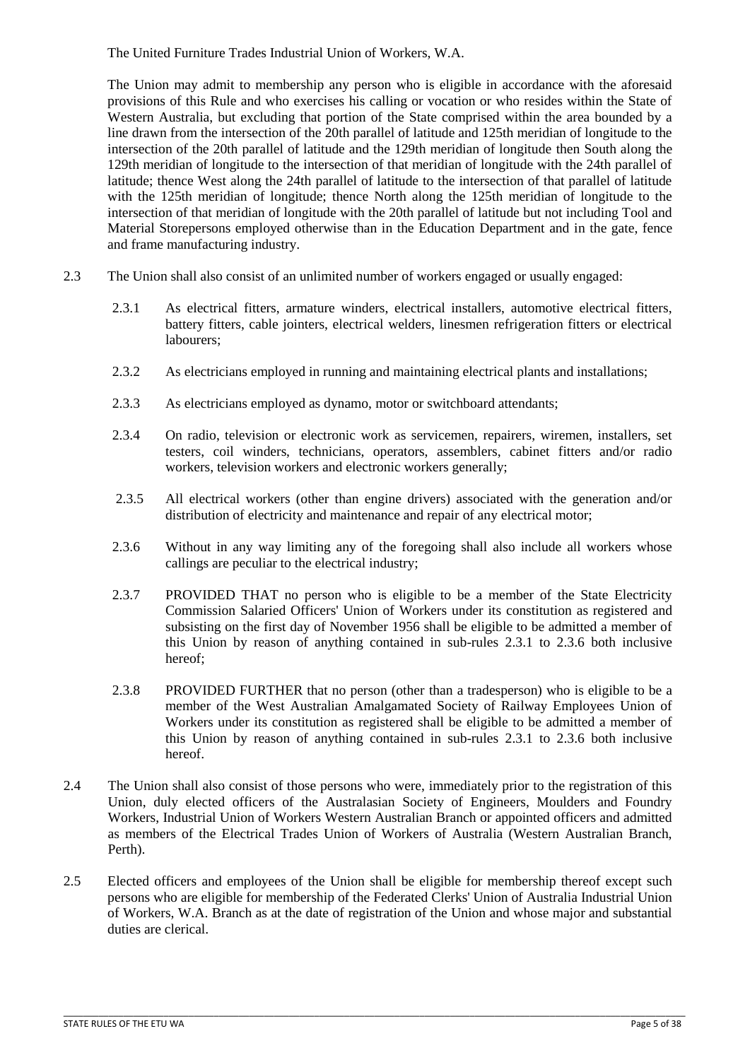The United Furniture Trades Industrial Union of Workers, W.A.

The Union may admit to membership any person who is eligible in accordance with the aforesaid provisions of this Rule and who exercises his calling or vocation or who resides within the State of Western Australia, but excluding that portion of the State comprised within the area bounded by a line drawn from the intersection of the 20th parallel of latitude and 125th meridian of longitude to the intersection of the 20th parallel of latitude and the 129th meridian of longitude then South along the 129th meridian of longitude to the intersection of that meridian of longitude with the 24th parallel of latitude; thence West along the 24th parallel of latitude to the intersection of that parallel of latitude with the 125th meridian of longitude; thence North along the 125th meridian of longitude to the intersection of that meridian of longitude with the 20th parallel of latitude but not including Tool and Material Storepersons employed otherwise than in the Education Department and in the gate, fence and frame manufacturing industry.

- 2.3 The Union shall also consist of an unlimited number of workers engaged or usually engaged:
	- 2.3.1 As electrical fitters, armature winders, electrical installers, automotive electrical fitters, battery fitters, cable jointers, electrical welders, linesmen refrigeration fitters or electrical labourers;
	- 2.3.2 As electricians employed in running and maintaining electrical plants and installations;
	- 2.3.3 As electricians employed as dynamo, motor or switchboard attendants;
	- 2.3.4 On radio, television or electronic work as servicemen, repairers, wiremen, installers, set testers, coil winders, technicians, operators, assemblers, cabinet fitters and/or radio workers, television workers and electronic workers generally;
	- 2.3.5 All electrical workers (other than engine drivers) associated with the generation and/or distribution of electricity and maintenance and repair of any electrical motor;
	- 2.3.6 Without in any way limiting any of the foregoing shall also include all workers whose callings are peculiar to the electrical industry;
	- 2.3.7 PROVIDED THAT no person who is eligible to be a member of the State Electricity Commission Salaried Officers' Union of Workers under its constitution as registered and subsisting on the first day of November 1956 shall be eligible to be admitted a member of this Union by reason of anything contained in sub-rules 2.3.1 to 2.3.6 both inclusive hereof;
	- 2.3.8 PROVIDED FURTHER that no person (other than a tradesperson) who is eligible to be a member of the West Australian Amalgamated Society of Railway Employees Union of Workers under its constitution as registered shall be eligible to be admitted a member of this Union by reason of anything contained in sub-rules 2.3.1 to 2.3.6 both inclusive hereof.
- 2.4 The Union shall also consist of those persons who were, immediately prior to the registration of this Union, duly elected officers of the Australasian Society of Engineers, Moulders and Foundry Workers, Industrial Union of Workers Western Australian Branch or appointed officers and admitted as members of the Electrical Trades Union of Workers of Australia (Western Australian Branch, Perth).
- 2.5 Elected officers and employees of the Union shall be eligible for membership thereof except such persons who are eligible for membership of the Federated Clerks' Union of Australia Industrial Union of Workers, W.A. Branch as at the date of registration of the Union and whose major and substantial duties are clerical.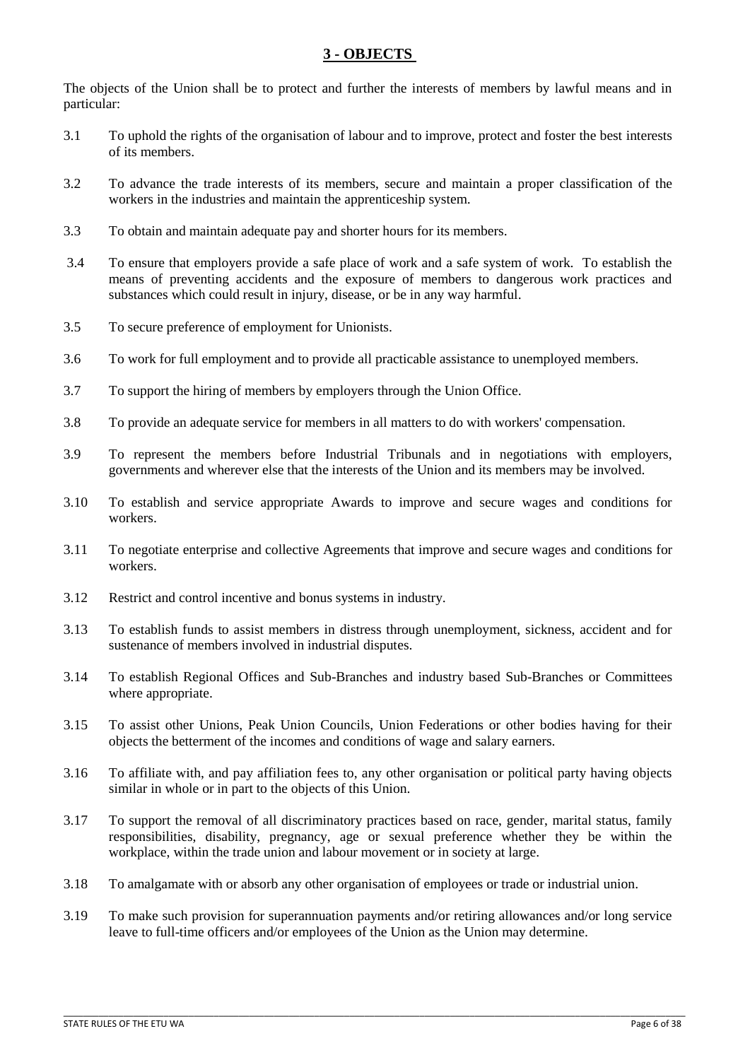# **3 - OBJECTS**

<span id="page-5-0"></span>The objects of the Union shall be to protect and further the interests of members by lawful means and in particular:

- 3.1 To uphold the rights of the organisation of labour and to improve, protect and foster the best interests of its members.
- 3.2 To advance the trade interests of its members, secure and maintain a proper classification of the workers in the industries and maintain the apprenticeship system.
- 3.3 To obtain and maintain adequate pay and shorter hours for its members.
- 3.4 To ensure that employers provide a safe place of work and a safe system of work. To establish the means of preventing accidents and the exposure of members to dangerous work practices and substances which could result in injury, disease, or be in any way harmful.
- 3.5 To secure preference of employment for Unionists.
- 3.6 To work for full employment and to provide all practicable assistance to unemployed members.
- 3.7 To support the hiring of members by employers through the Union Office.
- 3.8 To provide an adequate service for members in all matters to do with workers' compensation.
- 3.9 To represent the members before Industrial Tribunals and in negotiations with employers, governments and wherever else that the interests of the Union and its members may be involved.
- 3.10 To establish and service appropriate Awards to improve and secure wages and conditions for workers.
- 3.11 To negotiate enterprise and collective Agreements that improve and secure wages and conditions for workers.
- 3.12 Restrict and control incentive and bonus systems in industry.
- 3.13 To establish funds to assist members in distress through unemployment, sickness, accident and for sustenance of members involved in industrial disputes.
- 3.14 To establish Regional Offices and Sub-Branches and industry based Sub-Branches or Committees where appropriate.
- 3.15 To assist other Unions, Peak Union Councils, Union Federations or other bodies having for their objects the betterment of the incomes and conditions of wage and salary earners.
- 3.16 To affiliate with, and pay affiliation fees to, any other organisation or political party having objects similar in whole or in part to the objects of this Union.
- 3.17 To support the removal of all discriminatory practices based on race, gender, marital status, family responsibilities, disability, pregnancy, age or sexual preference whether they be within the workplace, within the trade union and labour movement or in society at large.
- 3.18 To amalgamate with or absorb any other organisation of employees or trade or industrial union.
- 3.19 To make such provision for superannuation payments and/or retiring allowances and/or long service leave to full-time officers and/or employees of the Union as the Union may determine.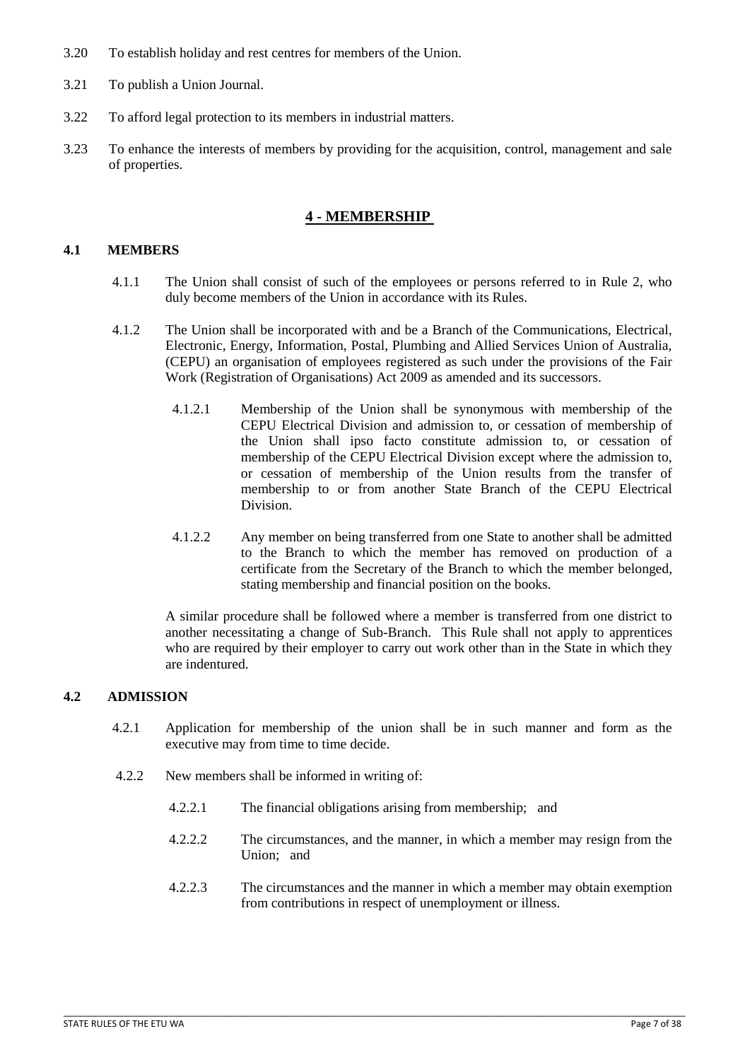- 3.20 To establish holiday and rest centres for members of the Union.
- 3.21 To publish a Union Journal.
- 3.22 To afford legal protection to its members in industrial matters.
- 3.23 To enhance the interests of members by providing for the acquisition, control, management and sale of properties.

## **4 - MEMBERSHIP**

#### <span id="page-6-1"></span><span id="page-6-0"></span>**4.1 MEMBERS**

- 4.1.1 The Union shall consist of such of the employees or persons referred to in Rule 2, who duly become members of the Union in accordance with its Rules.
- 4.1.2 The Union shall be incorporated with and be a Branch of the Communications, Electrical, Electronic, Energy, Information, Postal, Plumbing and Allied Services Union of Australia, (CEPU) an organisation of employees registered as such under the provisions of the Fair Work (Registration of Organisations) Act 2009 as amended and its successors.
	- 4.1.2.1 Membership of the Union shall be synonymous with membership of the CEPU Electrical Division and admission to, or cessation of membership of the Union shall ipso facto constitute admission to, or cessation of membership of the CEPU Electrical Division except where the admission to, or cessation of membership of the Union results from the transfer of membership to or from another State Branch of the CEPU Electrical Division.
	- 4.1.2.2 Any member on being transferred from one State to another shall be admitted to the Branch to which the member has removed on production of a certificate from the Secretary of the Branch to which the member belonged, stating membership and financial position on the books.

A similar procedure shall be followed where a member is transferred from one district to another necessitating a change of Sub-Branch. This Rule shall not apply to apprentices who are required by their employer to carry out work other than in the State in which they are indentured.

#### <span id="page-6-2"></span>**4.2 ADMISSION**

- 4.2.1 Application for membership of the union shall be in such manner and form as the executive may from time to time decide.
- 4.2.2 New members shall be informed in writing of:
	- 4.2.2.1 The financial obligations arising from membership; and

- 4.2.2.2 The circumstances, and the manner, in which a member may resign from the Union; and
- 4.2.2.3 The circumstances and the manner in which a member may obtain exemption from contributions in respect of unemployment or illness.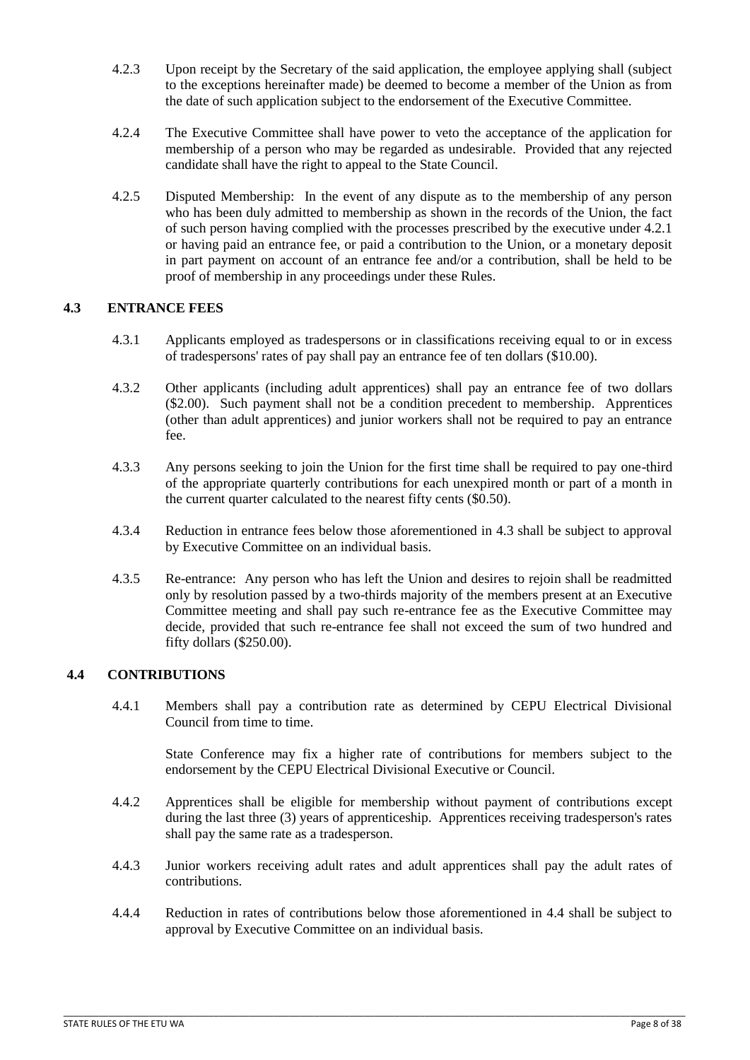- 4.2.3 Upon receipt by the Secretary of the said application, the employee applying shall (subject to the exceptions hereinafter made) be deemed to become a member of the Union as from the date of such application subject to the endorsement of the Executive Committee.
- 4.2.4 The Executive Committee shall have power to veto the acceptance of the application for membership of a person who may be regarded as undesirable. Provided that any rejected candidate shall have the right to appeal to the State Council.
- 4.2.5 Disputed Membership: In the event of any dispute as to the membership of any person who has been duly admitted to membership as shown in the records of the Union, the fact of such person having complied with the processes prescribed by the executive under 4.2.1 or having paid an entrance fee, or paid a contribution to the Union, or a monetary deposit in part payment on account of an entrance fee and/or a contribution, shall be held to be proof of membership in any proceedings under these Rules.

# <span id="page-7-0"></span>**4.3 ENTRANCE FEES**

- 4.3.1 Applicants employed as tradespersons or in classifications receiving equal to or in excess of tradespersons' rates of pay shall pay an entrance fee of ten dollars (\$10.00).
- 4.3.2 Other applicants (including adult apprentices) shall pay an entrance fee of two dollars (\$2.00). Such payment shall not be a condition precedent to membership. Apprentices (other than adult apprentices) and junior workers shall not be required to pay an entrance fee.
- 4.3.3 Any persons seeking to join the Union for the first time shall be required to pay one-third of the appropriate quarterly contributions for each unexpired month or part of a month in the current quarter calculated to the nearest fifty cents (\$0.50).
- 4.3.4 Reduction in entrance fees below those aforementioned in 4.3 shall be subject to approval by Executive Committee on an individual basis.
- 4.3.5 Re-entrance: Any person who has left the Union and desires to rejoin shall be readmitted only by resolution passed by a two-thirds majority of the members present at an Executive Committee meeting and shall pay such re-entrance fee as the Executive Committee may decide, provided that such re-entrance fee shall not exceed the sum of two hundred and fifty dollars (\$250.00).

# <span id="page-7-1"></span>**4.4 CONTRIBUTIONS**

4.4.1 Members shall pay a contribution rate as determined by CEPU Electrical Divisional Council from time to time.

 State Conference may fix a higher rate of contributions for members subject to the endorsement by the CEPU Electrical Divisional Executive or Council.

- 4.4.2 Apprentices shall be eligible for membership without payment of contributions except during the last three (3) years of apprenticeship. Apprentices receiving tradesperson's rates shall pay the same rate as a tradesperson.
- 4.4.3 Junior workers receiving adult rates and adult apprentices shall pay the adult rates of contributions.
- 4.4.4 Reduction in rates of contributions below those aforementioned in 4.4 shall be subject to approval by Executive Committee on an individual basis.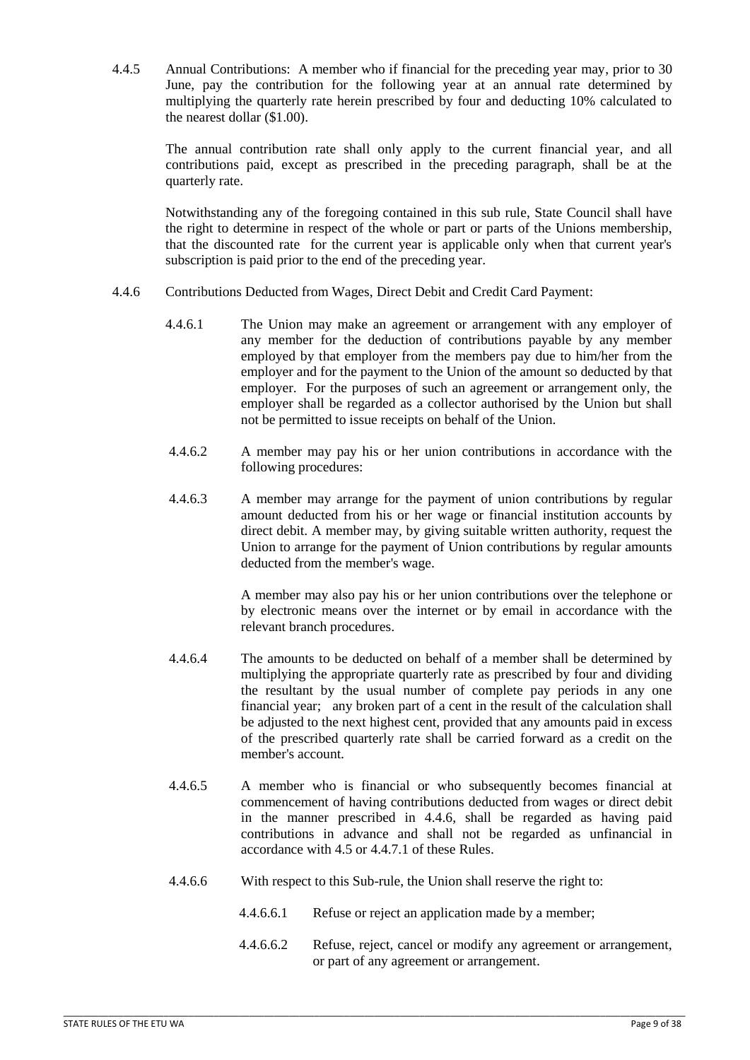4.4.5 Annual Contributions: A member who if financial for the preceding year may, prior to 30 June, pay the contribution for the following year at an annual rate determined by multiplying the quarterly rate herein prescribed by four and deducting 10% calculated to the nearest dollar (\$1.00).

 The annual contribution rate shall only apply to the current financial year, and all contributions paid, except as prescribed in the preceding paragraph, shall be at the quarterly rate.

 Notwithstanding any of the foregoing contained in this sub rule, State Council shall have the right to determine in respect of the whole or part or parts of the Unions membership, that the discounted rate for the current year is applicable only when that current year's subscription is paid prior to the end of the preceding year.

- 4.4.6 Contributions Deducted from Wages, Direct Debit and Credit Card Payment:
	- 4.4.6.1 The Union may make an agreement or arrangement with any employer of any member for the deduction of contributions payable by any member employed by that employer from the members pay due to him/her from the employer and for the payment to the Union of the amount so deducted by that employer. For the purposes of such an agreement or arrangement only, the employer shall be regarded as a collector authorised by the Union but shall not be permitted to issue receipts on behalf of the Union.
	- 4.4.6.2 A member may pay his or her union contributions in accordance with the following procedures:
	- 4.4.6.3 A member may arrange for the payment of union contributions by regular amount deducted from his or her wage or financial institution accounts by direct debit. A member may, by giving suitable written authority, request the Union to arrange for the payment of Union contributions by regular amounts deducted from the member's wage.

A member may also pay his or her union contributions over the telephone or by electronic means over the internet or by email in accordance with the relevant branch procedures.

- 4.4.6.4 The amounts to be deducted on behalf of a member shall be determined by multiplying the appropriate quarterly rate as prescribed by four and dividing the resultant by the usual number of complete pay periods in any one financial year; any broken part of a cent in the result of the calculation shall be adjusted to the next highest cent, provided that any amounts paid in excess of the prescribed quarterly rate shall be carried forward as a credit on the member's account.
- 4.4.6.5 A member who is financial or who subsequently becomes financial at commencement of having contributions deducted from wages or direct debit in the manner prescribed in 4.4.6, shall be regarded as having paid contributions in advance and shall not be regarded as unfinancial in accordance with 4.5 or 4.4.7.1 of these Rules.
- 4.4.6.6 With respect to this Sub-rule, the Union shall reserve the right to:
	- 4.4.6.6.1 Refuse or reject an application made by a member;
	- 4.4.6.6.2 Refuse, reject, cancel or modify any agreement or arrangement, or part of any agreement or arrangement.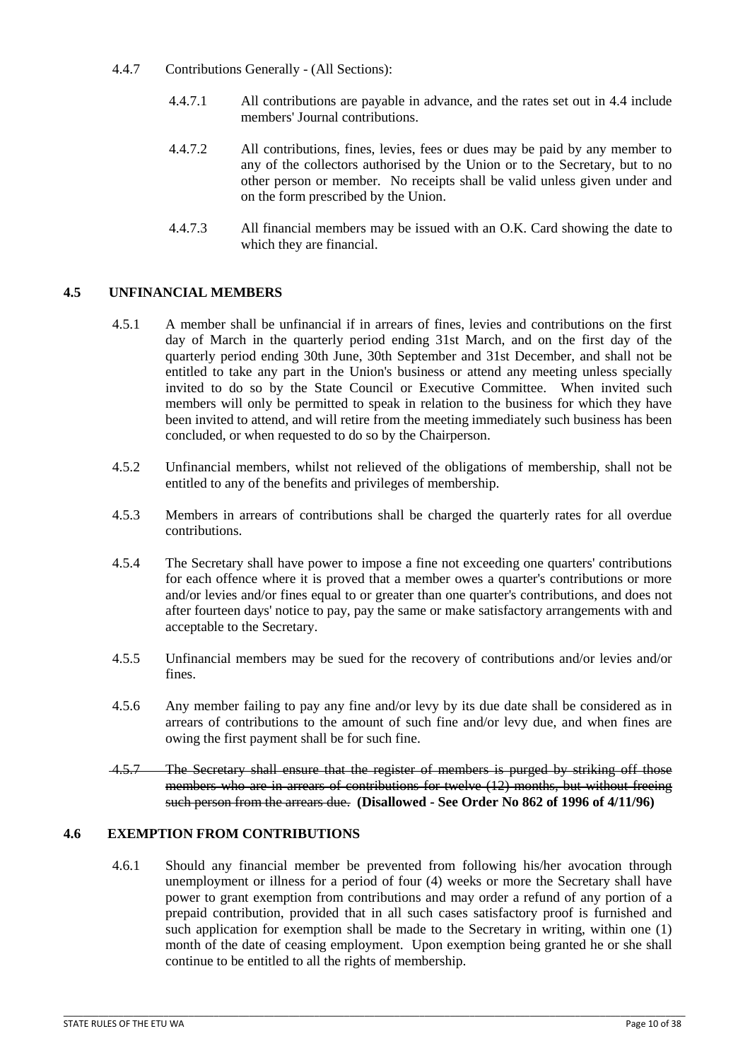- 4.4.7 Contributions Generally (All Sections):
	- 4.4.7.1 All contributions are payable in advance, and the rates set out in 4.4 include members' Journal contributions.
	- 4.4.7.2 All contributions, fines, levies, fees or dues may be paid by any member to any of the collectors authorised by the Union or to the Secretary, but to no other person or member. No receipts shall be valid unless given under and on the form prescribed by the Union.
	- 4.4.7.3 All financial members may be issued with an O.K. Card showing the date to which they are financial.

# <span id="page-9-0"></span>**4.5 UNFINANCIAL MEMBERS**

- 4.5.1 A member shall be unfinancial if in arrears of fines, levies and contributions on the first day of March in the quarterly period ending 31st March, and on the first day of the quarterly period ending 30th June, 30th September and 31st December, and shall not be entitled to take any part in the Union's business or attend any meeting unless specially invited to do so by the State Council or Executive Committee. When invited such members will only be permitted to speak in relation to the business for which they have been invited to attend, and will retire from the meeting immediately such business has been concluded, or when requested to do so by the Chairperson.
- 4.5.2 Unfinancial members, whilst not relieved of the obligations of membership, shall not be entitled to any of the benefits and privileges of membership.
- 4.5.3 Members in arrears of contributions shall be charged the quarterly rates for all overdue contributions.
- 4.5.4 The Secretary shall have power to impose a fine not exceeding one quarters' contributions for each offence where it is proved that a member owes a quarter's contributions or more and/or levies and/or fines equal to or greater than one quarter's contributions, and does not after fourteen days' notice to pay, pay the same or make satisfactory arrangements with and acceptable to the Secretary.
- 4.5.5 Unfinancial members may be sued for the recovery of contributions and/or levies and/or fines.
- 4.5.6 Any member failing to pay any fine and/or levy by its due date shall be considered as in arrears of contributions to the amount of such fine and/or levy due, and when fines are owing the first payment shall be for such fine.
- 4.5.7 The Secretary shall ensure that the register of members is purged by striking off those members who are in arrears of contributions for twelve (12) months, but without freeing such person from the arrears due. **(Disallowed - See Order No 862 of 1996 of 4/11/96)**

# <span id="page-9-1"></span>**4.6 EXEMPTION FROM CONTRIBUTIONS**

4.6.1 Should any financial member be prevented from following his/her avocation through unemployment or illness for a period of four (4) weeks or more the Secretary shall have power to grant exemption from contributions and may order a refund of any portion of a prepaid contribution, provided that in all such cases satisfactory proof is furnished and such application for exemption shall be made to the Secretary in writing, within one (1) month of the date of ceasing employment. Upon exemption being granted he or she shall continue to be entitled to all the rights of membership.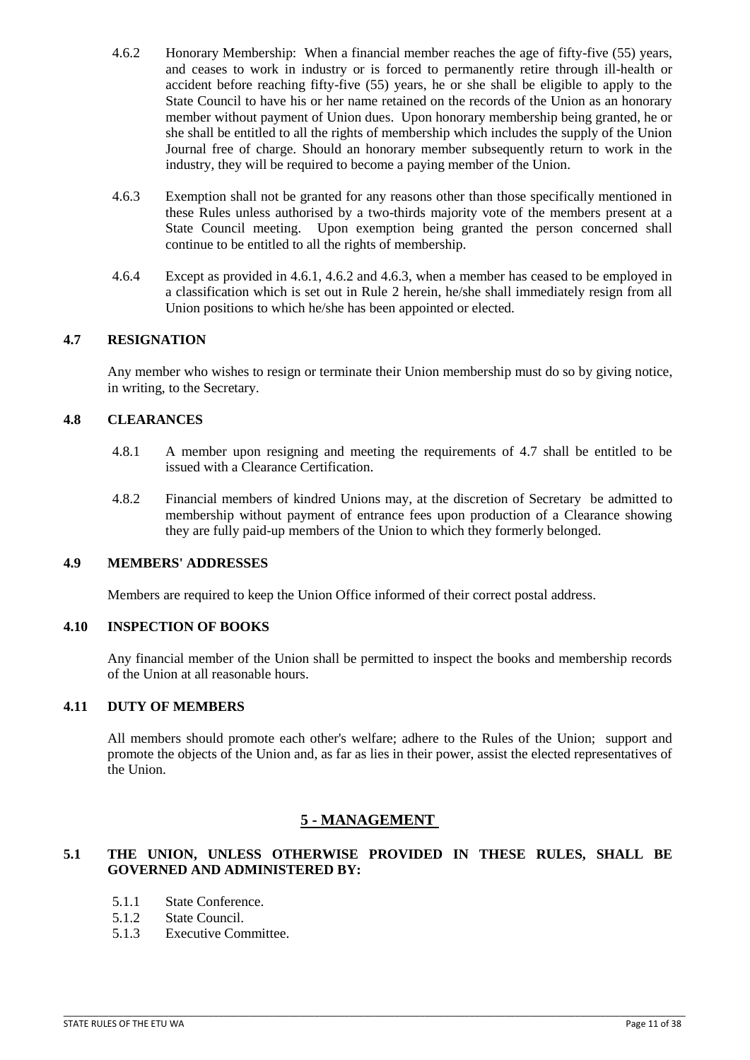- 4.6.2 Honorary Membership: When a financial member reaches the age of fifty-five (55) years, and ceases to work in industry or is forced to permanently retire through ill-health or accident before reaching fifty-five (55) years, he or she shall be eligible to apply to the State Council to have his or her name retained on the records of the Union as an honorary member without payment of Union dues. Upon honorary membership being granted, he or she shall be entitled to all the rights of membership which includes the supply of the Union Journal free of charge. Should an honorary member subsequently return to work in the industry, they will be required to become a paying member of the Union.
- 4.6.3 Exemption shall not be granted for any reasons other than those specifically mentioned in these Rules unless authorised by a two-thirds majority vote of the members present at a State Council meeting. Upon exemption being granted the person concerned shall continue to be entitled to all the rights of membership.
- 4.6.4 Except as provided in 4.6.1, 4.6.2 and 4.6.3, when a member has ceased to be employed in a classification which is set out in Rule 2 herein, he/she shall immediately resign from all Union positions to which he/she has been appointed or elected.

# <span id="page-10-0"></span>**4.7 RESIGNATION**

Any member who wishes to resign or terminate their Union membership must do so by giving notice, in writing, to the Secretary.

### <span id="page-10-1"></span>**4.8 CLEARANCES**

- 4.8.1 A member upon resigning and meeting the requirements of 4.7 shall be entitled to be issued with a Clearance Certification.
- 4.8.2 Financial members of kindred Unions may, at the discretion of Secretary be admitted to membership without payment of entrance fees upon production of a Clearance showing they are fully paid-up members of the Union to which they formerly belonged.

#### <span id="page-10-2"></span>**4.9 MEMBERS' ADDRESSES**

Members are required to keep the Union Office informed of their correct postal address.

# <span id="page-10-3"></span>**4.10 INSPECTION OF BOOKS**

Any financial member of the Union shall be permitted to inspect the books and membership records of the Union at all reasonable hours.

### <span id="page-10-4"></span>**4.11 DUTY OF MEMBERS**

All members should promote each other's welfare; adhere to the Rules of the Union; support and promote the objects of the Union and, as far as lies in their power, assist the elected representatives of the Union.

# **5 - MANAGEMENT**

# <span id="page-10-6"></span><span id="page-10-5"></span>**5.1 THE UNION, UNLESS OTHERWISE PROVIDED IN THESE RULES, SHALL BE GOVERNED AND ADMINISTERED BY:**

- 5.1.1 State Conference.
- 5.1.2 State Council.
- 5.1.3 Executive Committee.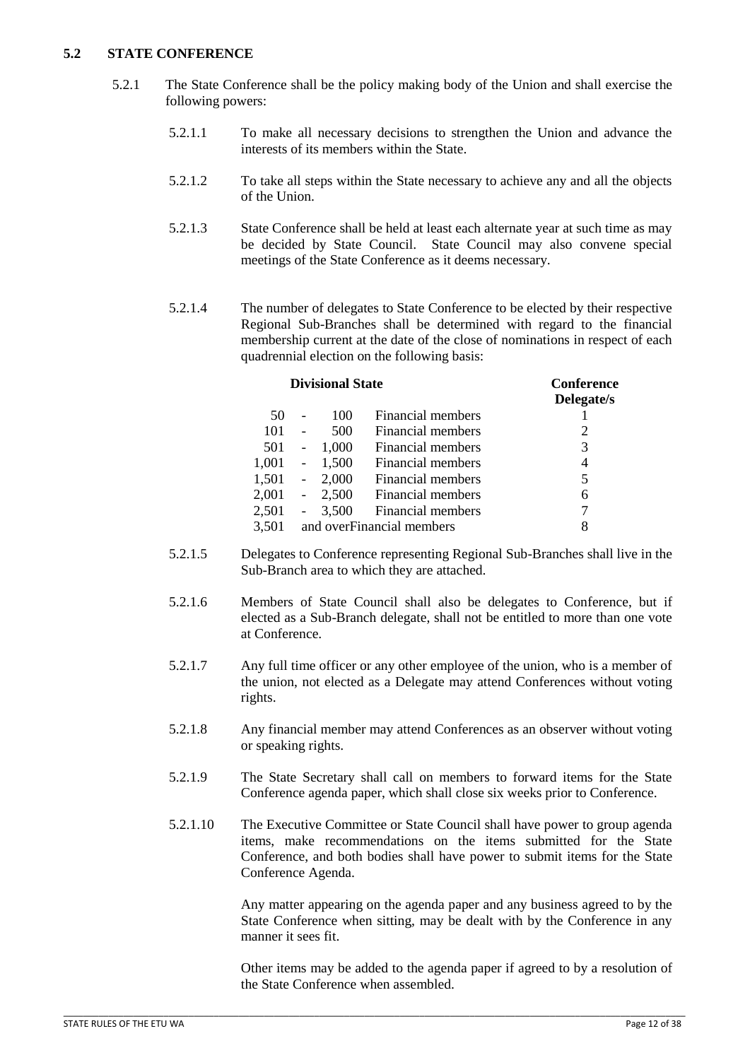## <span id="page-11-0"></span>**5.2 STATE CONFERENCE**

- 5.2.1 The State Conference shall be the policy making body of the Union and shall exercise the following powers:
	- 5.2.1.1 To make all necessary decisions to strengthen the Union and advance the interests of its members within the State.
	- 5.2.1.2 To take all steps within the State necessary to achieve any and all the objects of the Union.
	- 5.2.1.3 State Conference shall be held at least each alternate year at such time as may be decided by State Council. State Council may also convene special meetings of the State Conference as it deems necessary.
	- 5.2.1.4 The number of delegates to State Conference to be elected by their respective Regional Sub-Branches shall be determined with regard to the financial membership current at the date of the close of nominations in respect of each quadrennial election on the following basis:

| <b>Divisional State</b> |                          |       |                            | <b>Conference</b><br>Delegate/s |
|-------------------------|--------------------------|-------|----------------------------|---------------------------------|
| 50                      |                          | 100   | Financial members          |                                 |
| 101                     |                          | 500   | Financial members          | 2                               |
| 501                     | $\overline{\phantom{a}}$ | 1,000 | Financial members          | 3                               |
| 1,001                   | $\sim$ $-$               | 1,500 | Financial members          | 4                               |
| 1,501                   | $\sim 10^{-11}$          | 2,000 | Financial members          | 5                               |
| 2,001                   | $\overline{\phantom{a}}$ | 2,500 | Financial members          | 6                               |
| 2,501                   | $\overline{\phantom{0}}$ | 3,500 | Financial members          |                                 |
| 3,501                   |                          |       | and over Financial members | 8                               |

- 5.2.1.5 Delegates to Conference representing Regional Sub-Branches shall live in the Sub-Branch area to which they are attached.
- 5.2.1.6 Members of State Council shall also be delegates to Conference, but if elected as a Sub-Branch delegate, shall not be entitled to more than one vote at Conference.
- 5.2.1.7 Any full time officer or any other employee of the union, who is a member of the union, not elected as a Delegate may attend Conferences without voting rights.
- 5.2.1.8 Any financial member may attend Conferences as an observer without voting or speaking rights.
- 5.2.1.9 The State Secretary shall call on members to forward items for the State Conference agenda paper, which shall close six weeks prior to Conference.
- 5.2.1.10 The Executive Committee or State Council shall have power to group agenda items, make recommendations on the items submitted for the State Conference, and both bodies shall have power to submit items for the State Conference Agenda.

 Any matter appearing on the agenda paper and any business agreed to by the State Conference when sitting, may be dealt with by the Conference in any manner it sees fit.

 Other items may be added to the agenda paper if agreed to by a resolution of the State Conference when assembled.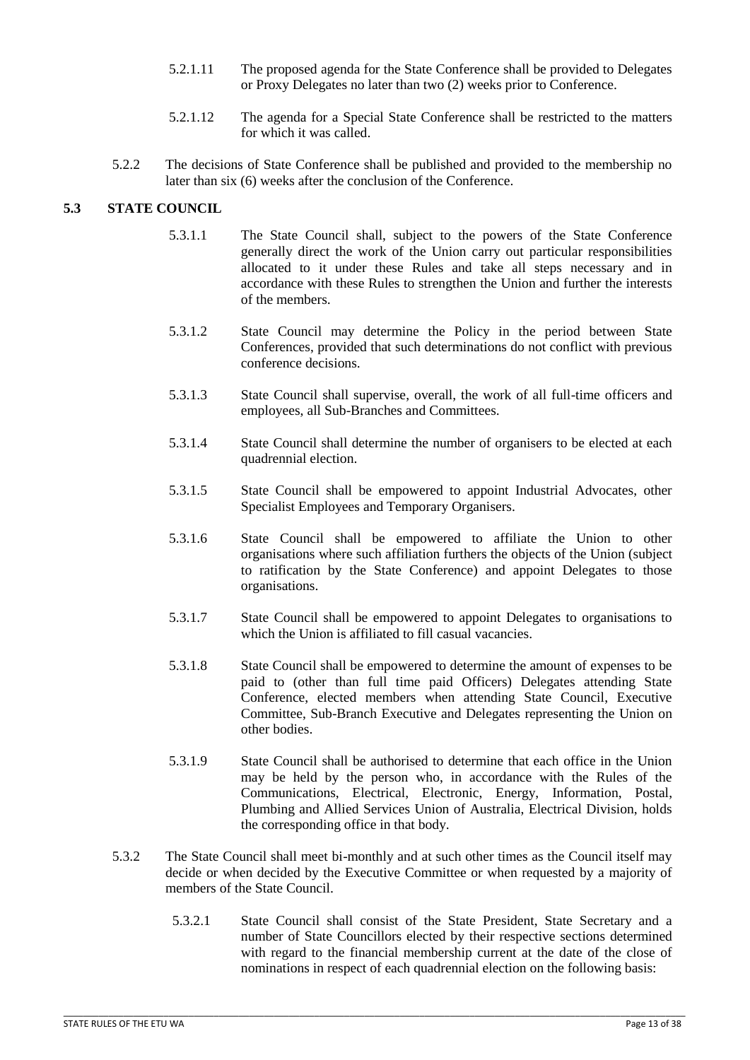- 5.2.1.11 The proposed agenda for the State Conference shall be provided to Delegates or Proxy Delegates no later than two (2) weeks prior to Conference.
- 5.2.1.12 The agenda for a Special State Conference shall be restricted to the matters for which it was called.
- 5.2.2 The decisions of State Conference shall be published and provided to the membership no later than six (6) weeks after the conclusion of the Conference.

## <span id="page-12-0"></span>**5.3 STATE COUNCIL**

- 5.3.1.1 The State Council shall, subject to the powers of the State Conference generally direct the work of the Union carry out particular responsibilities allocated to it under these Rules and take all steps necessary and in accordance with these Rules to strengthen the Union and further the interests of the members.
- 5.3.1.2 State Council may determine the Policy in the period between State Conferences, provided that such determinations do not conflict with previous conference decisions.
- 5.3.1.3 State Council shall supervise, overall, the work of all full-time officers and employees, all Sub-Branches and Committees.
- 5.3.1.4 State Council shall determine the number of organisers to be elected at each quadrennial election.
- 5.3.1.5 State Council shall be empowered to appoint Industrial Advocates, other Specialist Employees and Temporary Organisers.
- 5.3.1.6 State Council shall be empowered to affiliate the Union to other organisations where such affiliation furthers the objects of the Union (subject to ratification by the State Conference) and appoint Delegates to those organisations.
- 5.3.1.7 State Council shall be empowered to appoint Delegates to organisations to which the Union is affiliated to fill casual vacancies.
- 5.3.1.8 State Council shall be empowered to determine the amount of expenses to be paid to (other than full time paid Officers) Delegates attending State Conference, elected members when attending State Council, Executive Committee, Sub-Branch Executive and Delegates representing the Union on other bodies.
- 5.3.1.9 State Council shall be authorised to determine that each office in the Union may be held by the person who, in accordance with the Rules of the Communications, Electrical, Electronic, Energy, Information, Postal, Plumbing and Allied Services Union of Australia, Electrical Division, holds the corresponding office in that body.
- 5.3.2 The State Council shall meet bi-monthly and at such other times as the Council itself may decide or when decided by the Executive Committee or when requested by a majority of members of the State Council.

\_\_\_\_\_\_\_\_\_\_\_\_\_\_\_\_\_\_\_\_\_\_\_\_\_\_\_\_\_\_\_\_\_\_\_\_\_\_\_\_\_\_\_\_\_\_\_\_\_\_\_\_\_\_\_\_\_\_\_\_\_\_\_\_\_\_\_\_\_\_\_\_\_\_\_\_\_\_\_\_\_\_\_\_\_\_\_\_\_\_\_\_\_\_\_\_\_\_\_\_\_\_\_\_\_\_\_\_\_\_\_\_\_\_\_\_\_\_\_\_\_\_\_\_

 5.3.2.1 State Council shall consist of the State President, State Secretary and a number of State Councillors elected by their respective sections determined with regard to the financial membership current at the date of the close of nominations in respect of each quadrennial election on the following basis: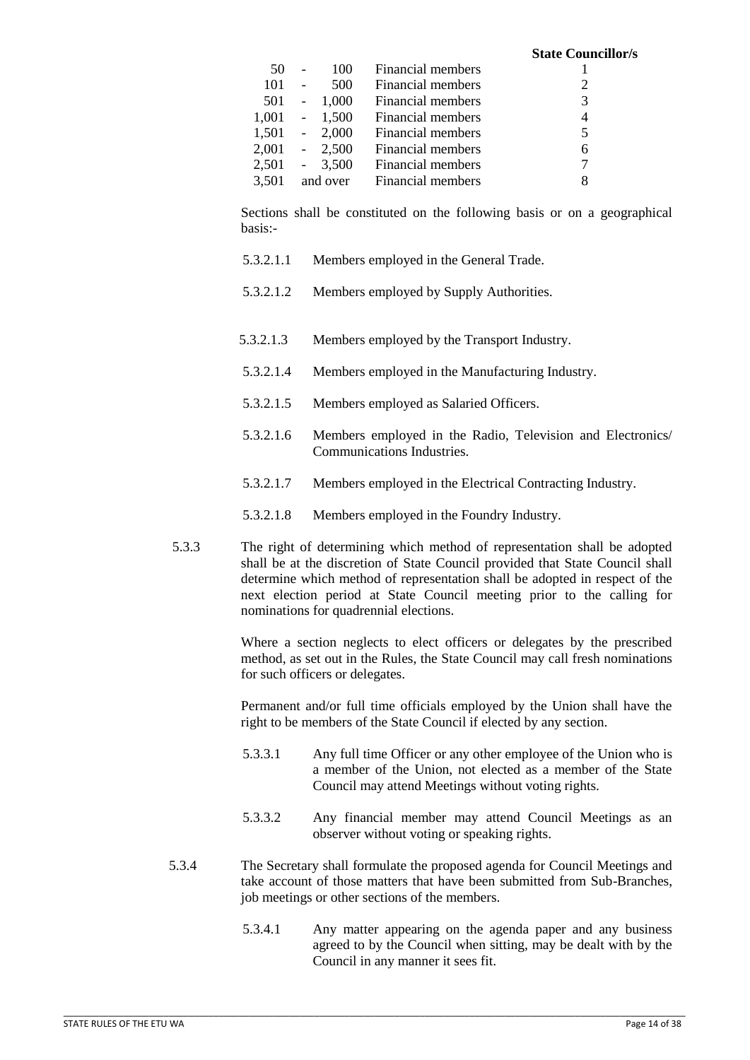|       |            |                 |                   | <b>State Councillor/s</b> |
|-------|------------|-----------------|-------------------|---------------------------|
| 50    |            | 100             | Financial members |                           |
| 101   | $\sim$     | 500             | Financial members | 2                         |
| 501   | $\sim$ $-$ | 1,000           | Financial members | 3                         |
|       |            | $1,001 - 1,500$ | Financial members | 4                         |
|       |            | $1,501 - 2,000$ | Financial members | 5                         |
|       |            | $2,001 - 2,500$ | Financial members | 6                         |
|       |            | 2,501 - 3,500   | Financial members | 7                         |
| 3,501 |            | and over        | Financial members | 8                         |
|       |            |                 |                   |                           |

 Sections shall be constituted on the following basis or on a geographical basis:-

- 5.3.2.1.1 Members employed in the General Trade.
- 5.3.2.1.2 Members employed by Supply Authorities.
- 5.3.2.1.3 Members employed by the Transport Industry.
- 5.3.2.1.4 Members employed in the Manufacturing Industry.
- 5.3.2.1.5 Members employed as Salaried Officers.
- 5.3.2.1.6 Members employed in the Radio, Television and Electronics/ Communications Industries.
- 5.3.2.1.7 Members employed in the Electrical Contracting Industry.
- 5.3.2.1.8 Members employed in the Foundry Industry.
- 5.3.3 The right of determining which method of representation shall be adopted shall be at the discretion of State Council provided that State Council shall determine which method of representation shall be adopted in respect of the next election period at State Council meeting prior to the calling for nominations for quadrennial elections.

 Where a section neglects to elect officers or delegates by the prescribed method, as set out in the Rules, the State Council may call fresh nominations for such officers or delegates.

 Permanent and/or full time officials employed by the Union shall have the right to be members of the State Council if elected by any section.

- 5.3.3.1 Any full time Officer or any other employee of the Union who is a member of the Union, not elected as a member of the State Council may attend Meetings without voting rights.
- 5.3.3.2 Any financial member may attend Council Meetings as an observer without voting or speaking rights.
- 5.3.4 The Secretary shall formulate the proposed agenda for Council Meetings and take account of those matters that have been submitted from Sub-Branches, job meetings or other sections of the members.

\_\_\_\_\_\_\_\_\_\_\_\_\_\_\_\_\_\_\_\_\_\_\_\_\_\_\_\_\_\_\_\_\_\_\_\_\_\_\_\_\_\_\_\_\_\_\_\_\_\_\_\_\_\_\_\_\_\_\_\_\_\_\_\_\_\_\_\_\_\_\_\_\_\_\_\_\_\_\_\_\_\_\_\_\_\_\_\_\_\_\_\_\_\_\_\_\_\_\_\_\_\_\_\_\_\_\_\_\_\_\_\_\_\_\_\_\_\_\_\_\_\_\_\_

5.3.4.1 Any matter appearing on the agenda paper and any business agreed to by the Council when sitting, may be dealt with by the Council in any manner it sees fit.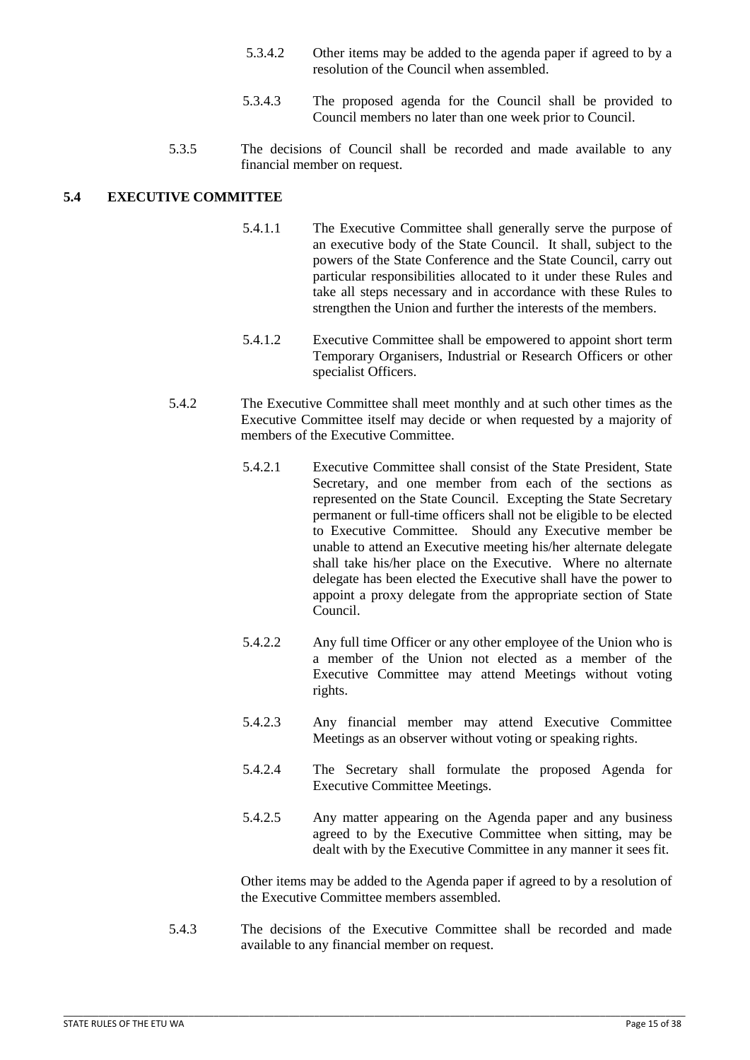- 5.3.4.2 Other items may be added to the agenda paper if agreed to by a resolution of the Council when assembled.
- 5.3.4.3 The proposed agenda for the Council shall be provided to Council members no later than one week prior to Council.
- 5.3.5 The decisions of Council shall be recorded and made available to any financial member on request.

## <span id="page-14-0"></span>**5.4 EXECUTIVE COMMITTEE**

- 5.4.1.1 The Executive Committee shall generally serve the purpose of an executive body of the State Council. It shall, subject to the powers of the State Conference and the State Council, carry out particular responsibilities allocated to it under these Rules and take all steps necessary and in accordance with these Rules to strengthen the Union and further the interests of the members.
- 5.4.1.2 Executive Committee shall be empowered to appoint short term Temporary Organisers, Industrial or Research Officers or other specialist Officers.
- 5.4.2 The Executive Committee shall meet monthly and at such other times as the Executive Committee itself may decide or when requested by a majority of members of the Executive Committee.
	- 5.4.2.1 Executive Committee shall consist of the State President, State Secretary, and one member from each of the sections as represented on the State Council. Excepting the State Secretary permanent or full-time officers shall not be eligible to be elected to Executive Committee. Should any Executive member be unable to attend an Executive meeting his/her alternate delegate shall take his/her place on the Executive. Where no alternate delegate has been elected the Executive shall have the power to appoint a proxy delegate from the appropriate section of State Council.
	- 5.4.2.2 Any full time Officer or any other employee of the Union who is a member of the Union not elected as a member of the Executive Committee may attend Meetings without voting rights.
	- 5.4.2.3 Any financial member may attend Executive Committee Meetings as an observer without voting or speaking rights.
	- 5.4.2.4 The Secretary shall formulate the proposed Agenda for Executive Committee Meetings.
	- 5.4.2.5 Any matter appearing on the Agenda paper and any business agreed to by the Executive Committee when sitting, may be dealt with by the Executive Committee in any manner it sees fit.

 Other items may be added to the Agenda paper if agreed to by a resolution of the Executive Committee members assembled.

5.4.3 The decisions of the Executive Committee shall be recorded and made available to any financial member on request.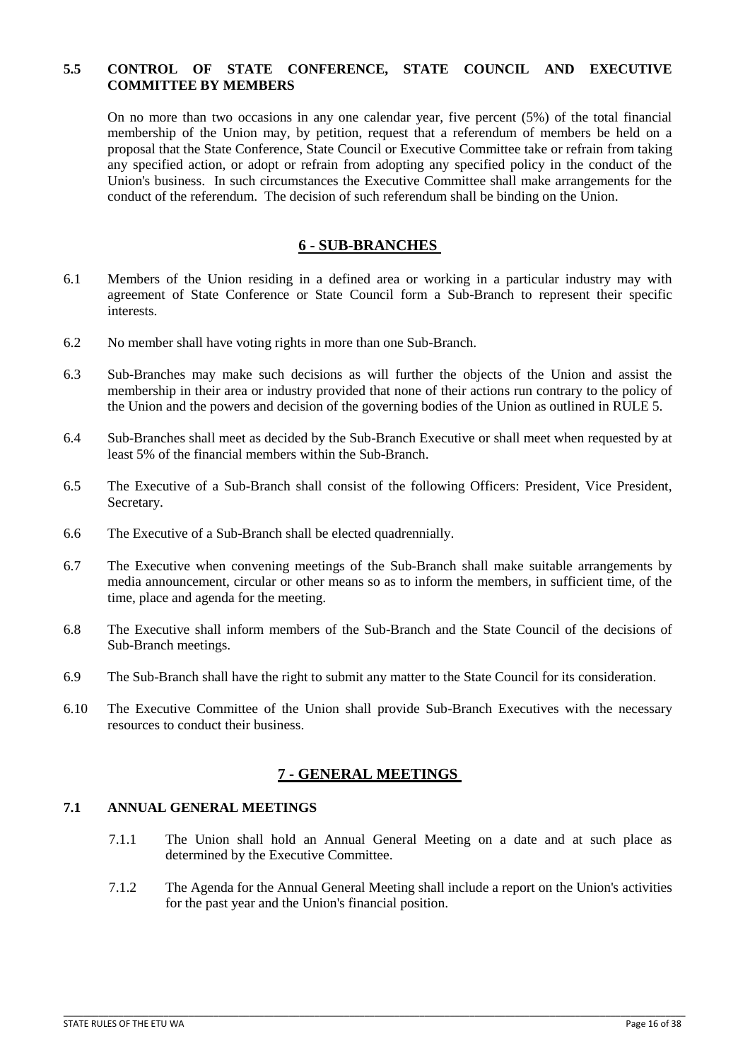### <span id="page-15-0"></span>**5.5 CONTROL OF STATE CONFERENCE, STATE COUNCIL AND EXECUTIVE COMMITTEE BY MEMBERS**

On no more than two occasions in any one calendar year, five percent (5%) of the total financial membership of the Union may, by petition, request that a referendum of members be held on a proposal that the State Conference, State Council or Executive Committee take or refrain from taking any specified action, or adopt or refrain from adopting any specified policy in the conduct of the Union's business. In such circumstances the Executive Committee shall make arrangements for the conduct of the referendum. The decision of such referendum shall be binding on the Union.

## **6 - SUB-BRANCHES**

- <span id="page-15-1"></span>6.1 Members of the Union residing in a defined area or working in a particular industry may with agreement of State Conference or State Council form a Sub-Branch to represent their specific interests.
- 6.2 No member shall have voting rights in more than one Sub-Branch.
- 6.3 Sub-Branches may make such decisions as will further the objects of the Union and assist the membership in their area or industry provided that none of their actions run contrary to the policy of the Union and the powers and decision of the governing bodies of the Union as outlined in RULE 5.
- 6.4 Sub-Branches shall meet as decided by the Sub-Branch Executive or shall meet when requested by at least 5% of the financial members within the Sub-Branch.
- 6.5 The Executive of a Sub-Branch shall consist of the following Officers: President, Vice President, Secretary.
- 6.6 The Executive of a Sub-Branch shall be elected quadrennially.
- 6.7 The Executive when convening meetings of the Sub-Branch shall make suitable arrangements by media announcement, circular or other means so as to inform the members, in sufficient time, of the time, place and agenda for the meeting.
- 6.8 The Executive shall inform members of the Sub-Branch and the State Council of the decisions of Sub-Branch meetings.
- 6.9 The Sub-Branch shall have the right to submit any matter to the State Council for its consideration.
- 6.10 The Executive Committee of the Union shall provide Sub-Branch Executives with the necessary resources to conduct their business.

# **7 - GENERAL MEETINGS**

# <span id="page-15-3"></span><span id="page-15-2"></span>**7.1 ANNUAL GENERAL MEETINGS**

- 7.1.1 The Union shall hold an Annual General Meeting on a date and at such place as determined by the Executive Committee.
- 7.1.2 The Agenda for the Annual General Meeting shall include a report on the Union's activities for the past year and the Union's financial position.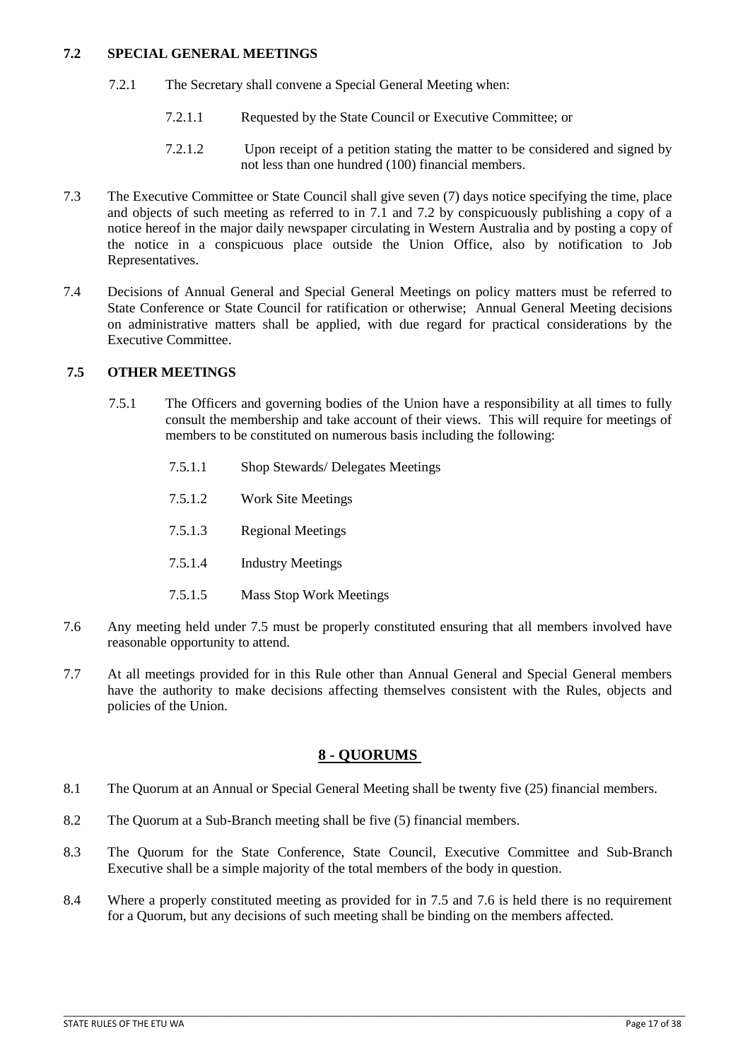### <span id="page-16-0"></span>**7.2 SPECIAL GENERAL MEETINGS**

- 7.2.1 The Secretary shall convene a Special General Meeting when:
	- 7.2.1.1 Requested by the State Council or Executive Committee; or
	- 7.2.1.2 Upon receipt of a petition stating the matter to be considered and signed by not less than one hundred (100) financial members.
- 7.3 The Executive Committee or State Council shall give seven (7) days notice specifying the time, place and objects of such meeting as referred to in 7.1 and 7.2 by conspicuously publishing a copy of a notice hereof in the major daily newspaper circulating in Western Australia and by posting a copy of the notice in a conspicuous place outside the Union Office, also by notification to Job Representatives.
- 7.4 Decisions of Annual General and Special General Meetings on policy matters must be referred to State Conference or State Council for ratification or otherwise; Annual General Meeting decisions on administrative matters shall be applied, with due regard for practical considerations by the Executive Committee.

## <span id="page-16-1"></span>**7.5 OTHER MEETINGS**

- 7.5.1 The Officers and governing bodies of the Union have a responsibility at all times to fully consult the membership and take account of their views. This will require for meetings of members to be constituted on numerous basis including the following:
	- 7.5.1.1 Shop Stewards/ Delegates Meetings
	- 7.5.1.2 Work Site Meetings
	- 7.5.1.3 Regional Meetings
	- 7.5.1.4 Industry Meetings
	- 7.5.1.5 Mass Stop Work Meetings
- 7.6 Any meeting held under 7.5 must be properly constituted ensuring that all members involved have reasonable opportunity to attend.
- 7.7 At all meetings provided for in this Rule other than Annual General and Special General members have the authority to make decisions affecting themselves consistent with the Rules, objects and policies of the Union.

# **8 - QUORUMS**

- <span id="page-16-2"></span>8.1 The Quorum at an Annual or Special General Meeting shall be twenty five (25) financial members.
- 8.2 The Quorum at a Sub-Branch meeting shall be five (5) financial members.
- 8.3 The Quorum for the State Conference, State Council, Executive Committee and Sub-Branch Executive shall be a simple majority of the total members of the body in question.
- 8.4 Where a properly constituted meeting as provided for in 7.5 and 7.6 is held there is no requirement for a Quorum, but any decisions of such meeting shall be binding on the members affected.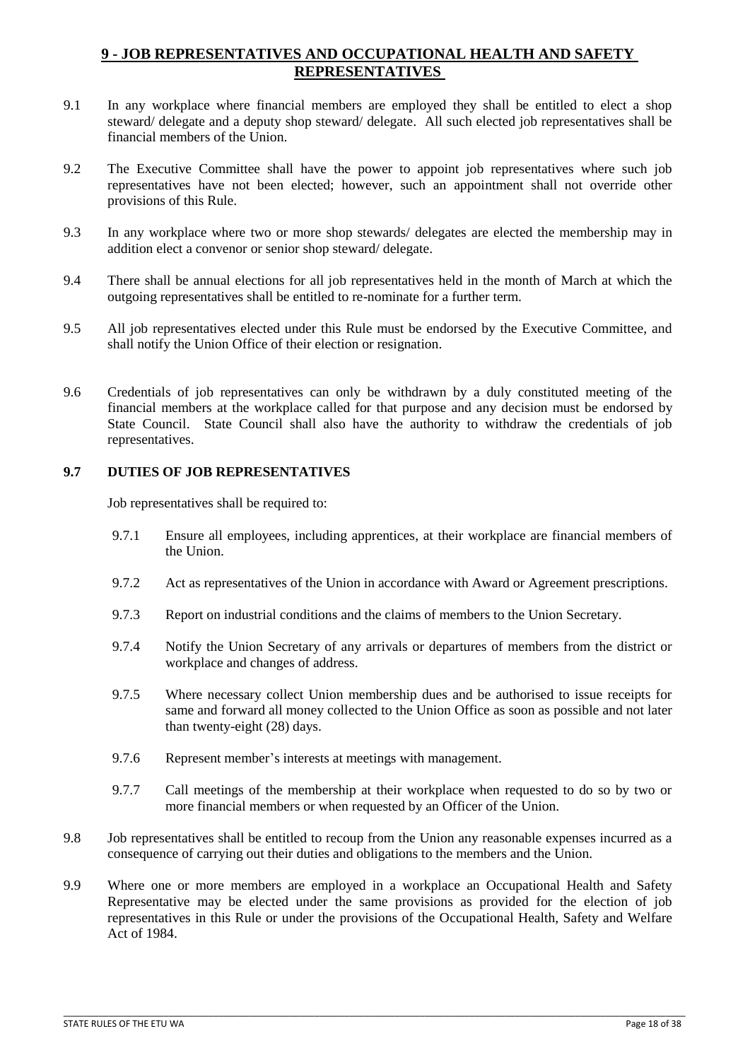# <span id="page-17-0"></span>**9 - JOB REPRESENTATIVES AND OCCUPATIONAL HEALTH AND SAFETY REPRESENTATIVES**

- 9.1 In any workplace where financial members are employed they shall be entitled to elect a shop steward/ delegate and a deputy shop steward/ delegate. All such elected job representatives shall be financial members of the Union.
- 9.2 The Executive Committee shall have the power to appoint job representatives where such job representatives have not been elected; however, such an appointment shall not override other provisions of this Rule.
- 9.3 In any workplace where two or more shop stewards/ delegates are elected the membership may in addition elect a convenor or senior shop steward/ delegate.
- 9.4 There shall be annual elections for all job representatives held in the month of March at which the outgoing representatives shall be entitled to re-nominate for a further term.
- 9.5 All job representatives elected under this Rule must be endorsed by the Executive Committee, and shall notify the Union Office of their election or resignation.
- 9.6 Credentials of job representatives can only be withdrawn by a duly constituted meeting of the financial members at the workplace called for that purpose and any decision must be endorsed by State Council. State Council shall also have the authority to withdraw the credentials of job representatives.

# <span id="page-17-1"></span>**9.7 DUTIES OF JOB REPRESENTATIVES**

Job representatives shall be required to:

- 9.7.1 Ensure all employees, including apprentices, at their workplace are financial members of the Union.
- 9.7.2 Act as representatives of the Union in accordance with Award or Agreement prescriptions.
- 9.7.3 Report on industrial conditions and the claims of members to the Union Secretary.
- 9.7.4 Notify the Union Secretary of any arrivals or departures of members from the district or workplace and changes of address.
- 9.7.5 Where necessary collect Union membership dues and be authorised to issue receipts for same and forward all money collected to the Union Office as soon as possible and not later than twenty-eight (28) days.
- 9.7.6 Represent member's interests at meetings with management.
- 9.7.7 Call meetings of the membership at their workplace when requested to do so by two or more financial members or when requested by an Officer of the Union.
- 9.8 Job representatives shall be entitled to recoup from the Union any reasonable expenses incurred as a consequence of carrying out their duties and obligations to the members and the Union.
- 9.9 Where one or more members are employed in a workplace an Occupational Health and Safety Representative may be elected under the same provisions as provided for the election of job representatives in this Rule or under the provisions of the Occupational Health, Safety and Welfare Act of 1984.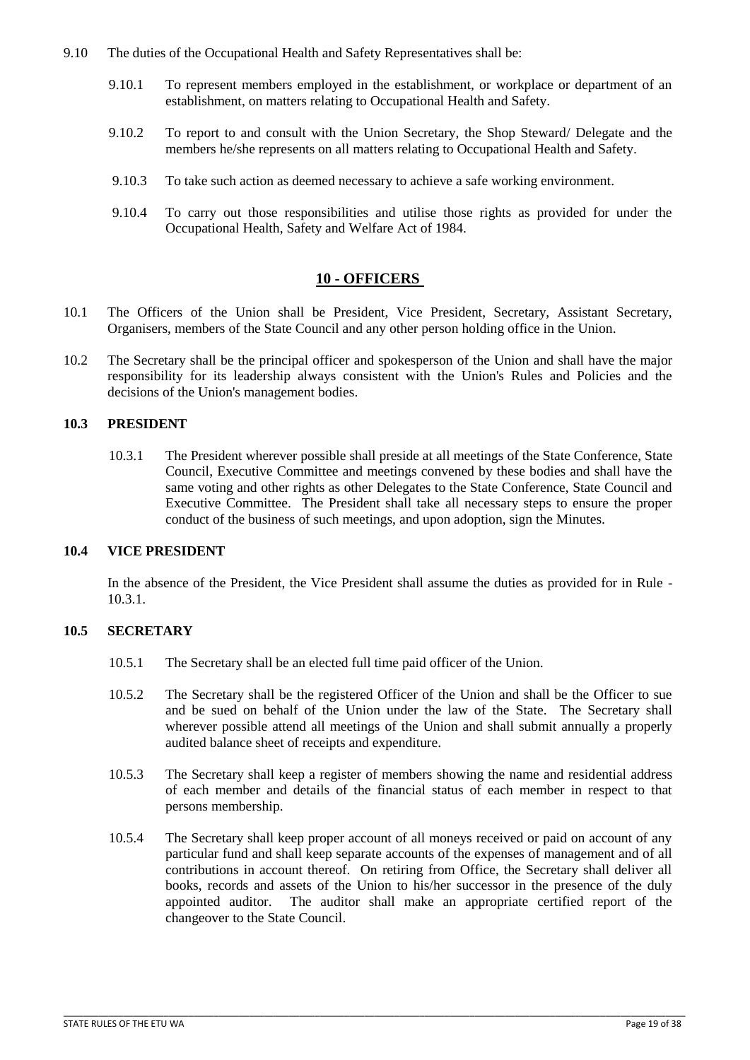- 9.10 The duties of the Occupational Health and Safety Representatives shall be:
	- 9.10.1 To represent members employed in the establishment, or workplace or department of an establishment, on matters relating to Occupational Health and Safety.
	- 9.10.2 To report to and consult with the Union Secretary, the Shop Steward/ Delegate and the members he/she represents on all matters relating to Occupational Health and Safety.
	- 9.10.3 To take such action as deemed necessary to achieve a safe working environment.
	- 9.10.4 To carry out those responsibilities and utilise those rights as provided for under the Occupational Health, Safety and Welfare Act of 1984.

## **10 - OFFICERS**

- <span id="page-18-0"></span>10.1 The Officers of the Union shall be President, Vice President, Secretary, Assistant Secretary, Organisers, members of the State Council and any other person holding office in the Union.
- 10.2 The Secretary shall be the principal officer and spokesperson of the Union and shall have the major responsibility for its leadership always consistent with the Union's Rules and Policies and the decisions of the Union's management bodies.

#### <span id="page-18-1"></span>**10.3 PRESIDENT**

10.3.1 The President wherever possible shall preside at all meetings of the State Conference, State Council, Executive Committee and meetings convened by these bodies and shall have the same voting and other rights as other Delegates to the State Conference, State Council and Executive Committee. The President shall take all necessary steps to ensure the proper conduct of the business of such meetings, and upon adoption, sign the Minutes.

#### <span id="page-18-2"></span>**10.4 VICE PRESIDENT**

In the absence of the President, the Vice President shall assume the duties as provided for in Rule - 10.3.1.

# <span id="page-18-3"></span>**10.5 SECRETARY**

- 10.5.1 The Secretary shall be an elected full time paid officer of the Union.
- 10.5.2 The Secretary shall be the registered Officer of the Union and shall be the Officer to sue and be sued on behalf of the Union under the law of the State. The Secretary shall wherever possible attend all meetings of the Union and shall submit annually a properly audited balance sheet of receipts and expenditure.
- 10.5.3 The Secretary shall keep a register of members showing the name and residential address of each member and details of the financial status of each member in respect to that persons membership.
- 10.5.4 The Secretary shall keep proper account of all moneys received or paid on account of any particular fund and shall keep separate accounts of the expenses of management and of all contributions in account thereof. On retiring from Office, the Secretary shall deliver all books, records and assets of the Union to his/her successor in the presence of the duly appointed auditor. The auditor shall make an appropriate certified report of the changeover to the State Council.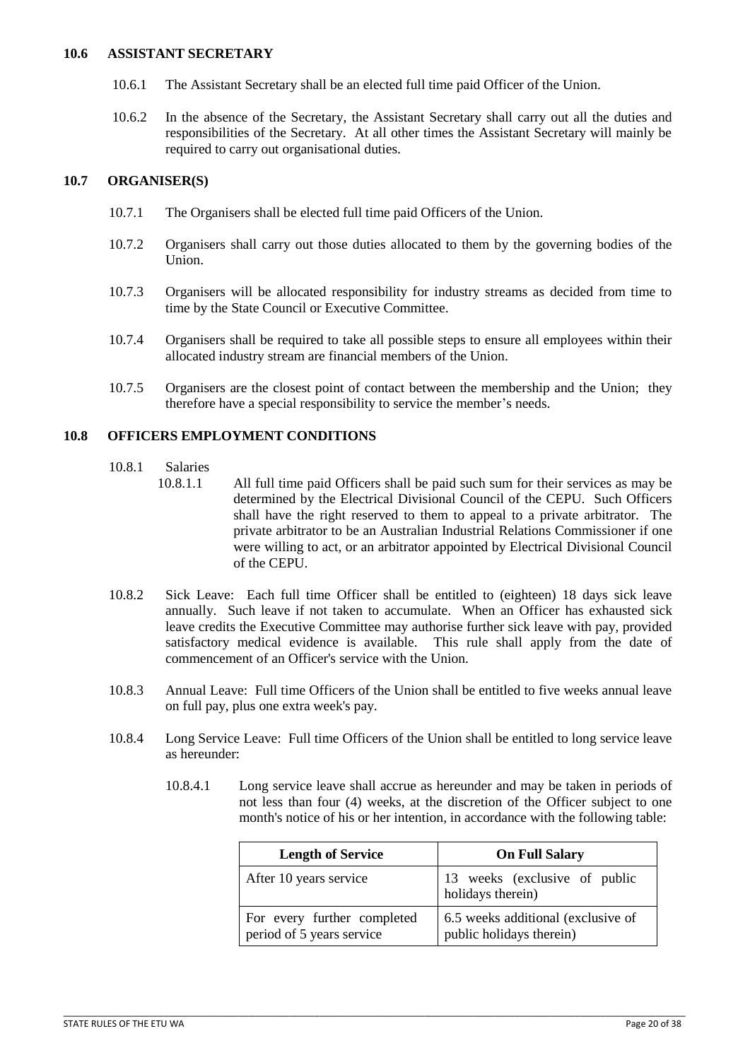#### <span id="page-19-0"></span>**10.6 ASSISTANT SECRETARY**

- 10.6.1 The Assistant Secretary shall be an elected full time paid Officer of the Union.
- 10.6.2 In the absence of the Secretary, the Assistant Secretary shall carry out all the duties and responsibilities of the Secretary. At all other times the Assistant Secretary will mainly be required to carry out organisational duties.

### <span id="page-19-1"></span>**10.7 ORGANISER(S)**

- 10.7.1 The Organisers shall be elected full time paid Officers of the Union.
- 10.7.2 Organisers shall carry out those duties allocated to them by the governing bodies of the Union.
- 10.7.3 Organisers will be allocated responsibility for industry streams as decided from time to time by the State Council or Executive Committee.
- 10.7.4 Organisers shall be required to take all possible steps to ensure all employees within their allocated industry stream are financial members of the Union.
- 10.7.5 Organisers are the closest point of contact between the membership and the Union; they therefore have a special responsibility to service the member's needs.

# <span id="page-19-2"></span>**10.8 OFFICERS EMPLOYMENT CONDITIONS**

- 10.8.1 Salaries
	- 10.8.1.1 All full time paid Officers shall be paid such sum for their services as may be determined by the Electrical Divisional Council of the CEPU. Such Officers shall have the right reserved to them to appeal to a private arbitrator. The private arbitrator to be an Australian Industrial Relations Commissioner if one were willing to act, or an arbitrator appointed by Electrical Divisional Council of the CEPU.
- 10.8.2 Sick Leave: Each full time Officer shall be entitled to (eighteen) 18 days sick leave annually. Such leave if not taken to accumulate. When an Officer has exhausted sick leave credits the Executive Committee may authorise further sick leave with pay, provided satisfactory medical evidence is available. This rule shall apply from the date of commencement of an Officer's service with the Union.
- 10.8.3 Annual Leave: Full time Officers of the Union shall be entitled to five weeks annual leave on full pay, plus one extra week's pay.
- 10.8.4 Long Service Leave: Full time Officers of the Union shall be entitled to long service leave as hereunder:
	- 10.8.4.1 Long service leave shall accrue as hereunder and may be taken in periods of not less than four (4) weeks, at the discretion of the Officer subject to one month's notice of his or her intention, in accordance with the following table:

| <b>Length of Service</b>                                 | <b>On Full Salary</b>                                          |
|----------------------------------------------------------|----------------------------------------------------------------|
| After 10 years service                                   | 13 weeks (exclusive of public<br>holidays therein)             |
| For every further completed<br>period of 5 years service | 6.5 weeks additional (exclusive of<br>public holidays therein) |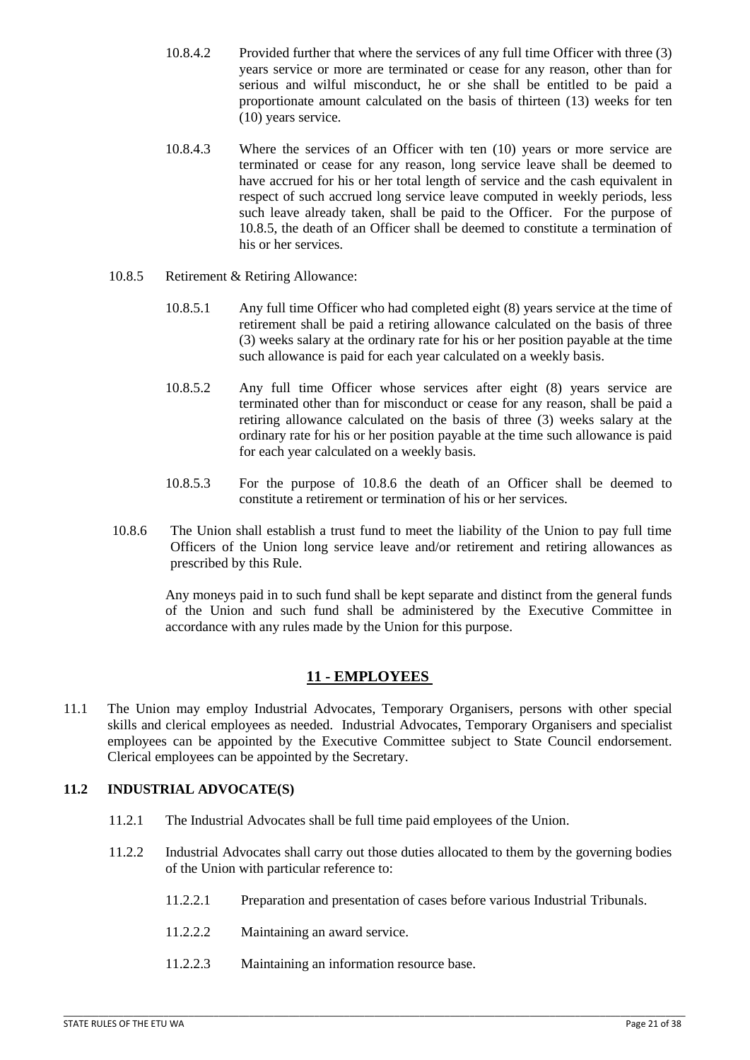- 10.8.4.2 Provided further that where the services of any full time Officer with three (3) years service or more are terminated or cease for any reason, other than for serious and wilful misconduct, he or she shall be entitled to be paid a proportionate amount calculated on the basis of thirteen (13) weeks for ten (10) years service.
- 10.8.4.3 Where the services of an Officer with ten (10) years or more service are terminated or cease for any reason, long service leave shall be deemed to have accrued for his or her total length of service and the cash equivalent in respect of such accrued long service leave computed in weekly periods, less such leave already taken, shall be paid to the Officer. For the purpose of 10.8.5, the death of an Officer shall be deemed to constitute a termination of his or her services.
- 10.8.5 Retirement & Retiring Allowance:
	- 10.8.5.1 Any full time Officer who had completed eight (8) years service at the time of retirement shall be paid a retiring allowance calculated on the basis of three (3) weeks salary at the ordinary rate for his or her position payable at the time such allowance is paid for each year calculated on a weekly basis.
	- 10.8.5.2 Any full time Officer whose services after eight (8) years service are terminated other than for misconduct or cease for any reason, shall be paid a retiring allowance calculated on the basis of three (3) weeks salary at the ordinary rate for his or her position payable at the time such allowance is paid for each year calculated on a weekly basis.
	- 10.8.5.3 For the purpose of 10.8.6 the death of an Officer shall be deemed to constitute a retirement or termination of his or her services.
- 10.8.6 The Union shall establish a trust fund to meet the liability of the Union to pay full time Officers of the Union long service leave and/or retirement and retiring allowances as prescribed by this Rule.

Any moneys paid in to such fund shall be kept separate and distinct from the general funds of the Union and such fund shall be administered by the Executive Committee in accordance with any rules made by the Union for this purpose.

# **11 - EMPLOYEES**

<span id="page-20-0"></span>11.1 The Union may employ Industrial Advocates, Temporary Organisers, persons with other special skills and clerical employees as needed. Industrial Advocates, Temporary Organisers and specialist employees can be appointed by the Executive Committee subject to State Council endorsement. Clerical employees can be appointed by the Secretary.

# <span id="page-20-1"></span>**11.2 INDUSTRIAL ADVOCATE(S)**

- 11.2.1 The Industrial Advocates shall be full time paid employees of the Union.
- 11.2.2 Industrial Advocates shall carry out those duties allocated to them by the governing bodies of the Union with particular reference to:
	- 11.2.2.1 Preparation and presentation of cases before various Industrial Tribunals.
	- 11.2.2.2 Maintaining an award service.
	- 11.2.2.3 Maintaining an information resource base.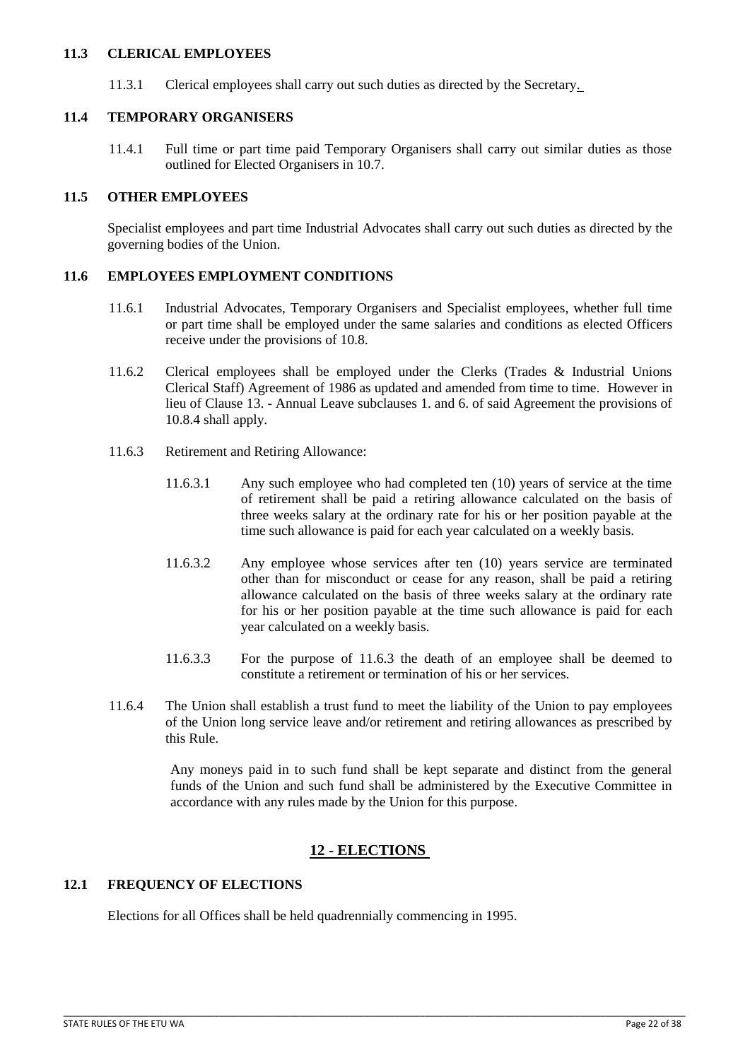#### <span id="page-21-0"></span>**11.3 CLERICAL EMPLOYEES**

11.3.1 Clerical employees shall carry out such duties as directed by the Secretary.

#### <span id="page-21-1"></span>**11.4 TEMPORARY ORGANISERS**

11.4.1 Full time or part time paid Temporary Organisers shall carry out similar duties as those outlined for Elected Organisers in 10.7.

#### <span id="page-21-2"></span>**11.5 OTHER EMPLOYEES**

Specialist employees and part time Industrial Advocates shall carry out such duties as directed by the governing bodies of the Union.

#### <span id="page-21-3"></span>**11.6 EMPLOYEES EMPLOYMENT CONDITIONS**

- 11.6.1 Industrial Advocates, Temporary Organisers and Specialist employees, whether full time or part time shall be employed under the same salaries and conditions as elected Officers receive under the provisions of 10.8.
- 11.6.2 Clerical employees shall be employed under the Clerks (Trades & Industrial Unions Clerical Staff) Agreement of 1986 as updated and amended from time to time. However in lieu of Clause 13. - Annual Leave subclauses 1. and 6. of said Agreement the provisions of 10.8.4 shall apply.
- 11.6.3 Retirement and Retiring Allowance:
	- 11.6.3.1 Any such employee who had completed ten (10) years of service at the time of retirement shall be paid a retiring allowance calculated on the basis of three weeks salary at the ordinary rate for his or her position payable at the time such allowance is paid for each year calculated on a weekly basis.
	- 11.6.3.2 Any employee whose services after ten (10) years service are terminated other than for misconduct or cease for any reason, shall be paid a retiring allowance calculated on the basis of three weeks salary at the ordinary rate for his or her position payable at the time such allowance is paid for each year calculated on a weekly basis.
	- 11.6.3.3 For the purpose of 11.6.3 the death of an employee shall be deemed to constitute a retirement or termination of his or her services.
- 11.6.4 The Union shall establish a trust fund to meet the liability of the Union to pay employees of the Union long service leave and/or retirement and retiring allowances as prescribed by this Rule.

 Any moneys paid in to such fund shall be kept separate and distinct from the general funds of the Union and such fund shall be administered by the Executive Committee in accordance with any rules made by the Union for this purpose.

# **12 - ELECTIONS**

\_\_\_\_\_\_\_\_\_\_\_\_\_\_\_\_\_\_\_\_\_\_\_\_\_\_\_\_\_\_\_\_\_\_\_\_\_\_\_\_\_\_\_\_\_\_\_\_\_\_\_\_\_\_\_\_\_\_\_\_\_\_\_\_\_\_\_\_\_\_\_\_\_\_\_\_\_\_\_\_\_\_\_\_\_\_\_\_\_\_\_\_\_\_\_\_\_\_\_\_\_\_\_\_\_\_\_\_\_\_\_\_\_\_\_\_\_\_\_\_\_\_\_\_

# <span id="page-21-5"></span><span id="page-21-4"></span>**12.1 FREQUENCY OF ELECTIONS**

Elections for all Offices shall be held quadrennially commencing in 1995.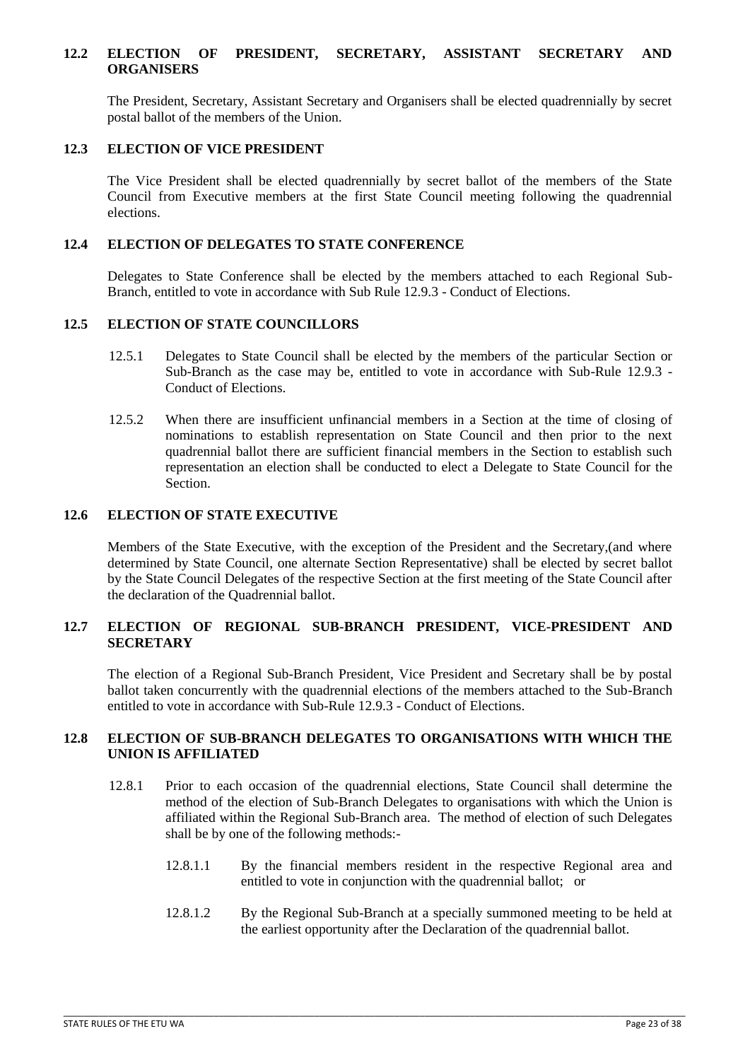#### <span id="page-22-0"></span>**12.2 ELECTION OF PRESIDENT, SECRETARY, ASSISTANT SECRETARY AND ORGANISERS**

The President, Secretary, Assistant Secretary and Organisers shall be elected quadrennially by secret postal ballot of the members of the Union.

#### <span id="page-22-1"></span>**12.3 ELECTION OF VICE PRESIDENT**

The Vice President shall be elected quadrennially by secret ballot of the members of the State Council from Executive members at the first State Council meeting following the quadrennial elections.

#### <span id="page-22-2"></span>**12.4 ELECTION OF DELEGATES TO STATE CONFERENCE**

Delegates to State Conference shall be elected by the members attached to each Regional Sub-Branch, entitled to vote in accordance with Sub Rule 12.9.3 - Conduct of Elections.

## <span id="page-22-3"></span>**12.5 ELECTION OF STATE COUNCILLORS**

- 12.5.1 Delegates to State Council shall be elected by the members of the particular Section or Sub-Branch as the case may be, entitled to vote in accordance with Sub-Rule 12.9.3 - Conduct of Elections.
- 12.5.2 When there are insufficient unfinancial members in a Section at the time of closing of nominations to establish representation on State Council and then prior to the next quadrennial ballot there are sufficient financial members in the Section to establish such representation an election shall be conducted to elect a Delegate to State Council for the Section.

#### <span id="page-22-4"></span>**12.6 ELECTION OF STATE EXECUTIVE**

Members of the State Executive, with the exception of the President and the Secretary,(and where determined by State Council, one alternate Section Representative) shall be elected by secret ballot by the State Council Delegates of the respective Section at the first meeting of the State Council after the declaration of the Quadrennial ballot.

## <span id="page-22-5"></span>**12.7 ELECTION OF REGIONAL SUB-BRANCH PRESIDENT, VICE-PRESIDENT AND SECRETARY**

The election of a Regional Sub-Branch President, Vice President and Secretary shall be by postal ballot taken concurrently with the quadrennial elections of the members attached to the Sub-Branch entitled to vote in accordance with Sub-Rule 12.9.3 - Conduct of Elections.

# <span id="page-22-6"></span>**12.8 ELECTION OF SUB-BRANCH DELEGATES TO ORGANISATIONS WITH WHICH THE UNION IS AFFILIATED**

12.8.1 Prior to each occasion of the quadrennial elections, State Council shall determine the method of the election of Sub-Branch Delegates to organisations with which the Union is affiliated within the Regional Sub-Branch area. The method of election of such Delegates shall be by one of the following methods:-

- 12.8.1.1 By the financial members resident in the respective Regional area and entitled to vote in conjunction with the quadrennial ballot; or
- 12.8.1.2 By the Regional Sub-Branch at a specially summoned meeting to be held at the earliest opportunity after the Declaration of the quadrennial ballot.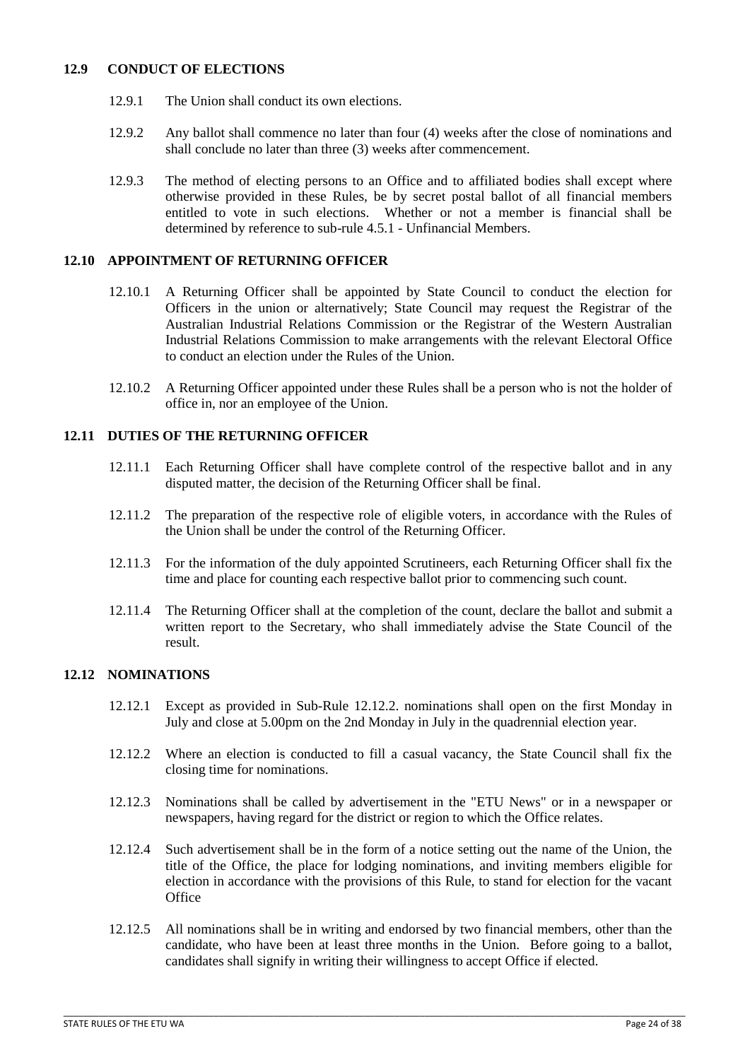## <span id="page-23-0"></span>**12.9 CONDUCT OF ELECTIONS**

- 12.9.1 The Union shall conduct its own elections.
- 12.9.2 Any ballot shall commence no later than four (4) weeks after the close of nominations and shall conclude no later than three (3) weeks after commencement.
- 12.9.3 The method of electing persons to an Office and to affiliated bodies shall except where otherwise provided in these Rules, be by secret postal ballot of all financial members entitled to vote in such elections. Whether or not a member is financial shall be determined by reference to sub-rule 4.5.1 - Unfinancial Members.

# <span id="page-23-1"></span>**12.10 APPOINTMENT OF RETURNING OFFICER**

- 12.10.1 A Returning Officer shall be appointed by State Council to conduct the election for Officers in the union or alternatively; State Council may request the Registrar of the Australian Industrial Relations Commission or the Registrar of the Western Australian Industrial Relations Commission to make arrangements with the relevant Electoral Office to conduct an election under the Rules of the Union.
- 12.10.2 A Returning Officer appointed under these Rules shall be a person who is not the holder of office in, nor an employee of the Union.

# <span id="page-23-2"></span>**12.11 DUTIES OF THE RETURNING OFFICER**

- 12.11.1 Each Returning Officer shall have complete control of the respective ballot and in any disputed matter, the decision of the Returning Officer shall be final.
- 12.11.2 The preparation of the respective role of eligible voters, in accordance with the Rules of the Union shall be under the control of the Returning Officer.
- 12.11.3 For the information of the duly appointed Scrutineers, each Returning Officer shall fix the time and place for counting each respective ballot prior to commencing such count.
- 12.11.4 The Returning Officer shall at the completion of the count, declare the ballot and submit a written report to the Secretary, who shall immediately advise the State Council of the result.

### <span id="page-23-3"></span>**12.12 NOMINATIONS**

- 12.12.1 Except as provided in Sub-Rule 12.12.2. nominations shall open on the first Monday in July and close at 5.00pm on the 2nd Monday in July in the quadrennial election year.
- 12.12.2 Where an election is conducted to fill a casual vacancy, the State Council shall fix the closing time for nominations.
- 12.12.3 Nominations shall be called by advertisement in the "ETU News" or in a newspaper or newspapers, having regard for the district or region to which the Office relates.
- 12.12.4 Such advertisement shall be in the form of a notice setting out the name of the Union, the title of the Office, the place for lodging nominations, and inviting members eligible for election in accordance with the provisions of this Rule, to stand for election for the vacant **Office**
- 12.12.5 All nominations shall be in writing and endorsed by two financial members, other than the candidate, who have been at least three months in the Union. Before going to a ballot, candidates shall signify in writing their willingness to accept Office if elected.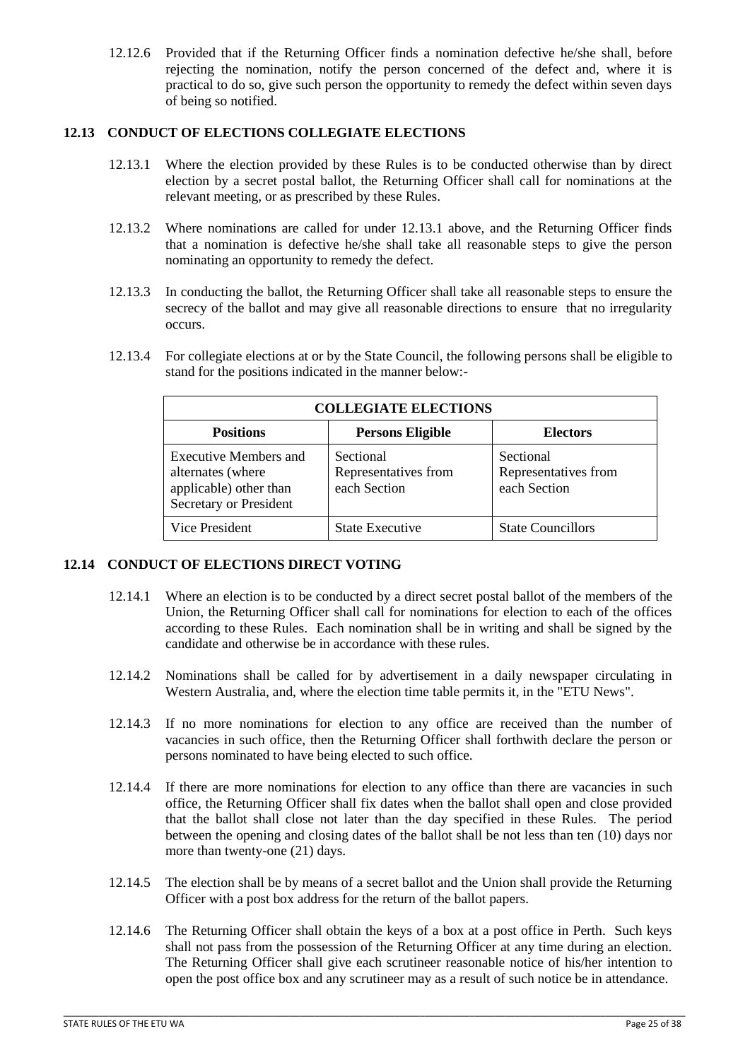12.12.6 Provided that if the Returning Officer finds a nomination defective he/she shall, before rejecting the nomination, notify the person concerned of the defect and, where it is practical to do so, give such person the opportunity to remedy the defect within seven days of being so notified.

# <span id="page-24-0"></span>**12.13 CONDUCT OF ELECTIONS COLLEGIATE ELECTIONS**

- 12.13.1 Where the election provided by these Rules is to be conducted otherwise than by direct election by a secret postal ballot, the Returning Officer shall call for nominations at the relevant meeting, or as prescribed by these Rules.
- 12.13.2 Where nominations are called for under 12.13.1 above, and the Returning Officer finds that a nomination is defective he/she shall take all reasonable steps to give the person nominating an opportunity to remedy the defect.
- 12.13.3 In conducting the ballot, the Returning Officer shall take all reasonable steps to ensure the secrecy of the ballot and may give all reasonable directions to ensure that no irregularity occurs.
- 12.13.4 For collegiate elections at or by the State Council, the following persons shall be eligible to stand for the positions indicated in the manner below:-

| <b>COLLEGIATE ELECTIONS</b>                                                                    |                                                   |                                                   |  |
|------------------------------------------------------------------------------------------------|---------------------------------------------------|---------------------------------------------------|--|
| <b>Positions</b>                                                                               | <b>Persons Eligible</b>                           | <b>Electors</b>                                   |  |
| Executive Members and<br>alternates (where<br>applicable) other than<br>Secretary or President | Sectional<br>Representatives from<br>each Section | Sectional<br>Representatives from<br>each Section |  |
| Vice President                                                                                 | <b>State Executive</b>                            | <b>State Councillors</b>                          |  |

# <span id="page-24-1"></span>**12.14 CONDUCT OF ELECTIONS DIRECT VOTING**

- 12.14.1 Where an election is to be conducted by a direct secret postal ballot of the members of the Union, the Returning Officer shall call for nominations for election to each of the offices according to these Rules. Each nomination shall be in writing and shall be signed by the candidate and otherwise be in accordance with these rules.
- 12.14.2 Nominations shall be called for by advertisement in a daily newspaper circulating in Western Australia, and, where the election time table permits it, in the "ETU News".
- 12.14.3 If no more nominations for election to any office are received than the number of vacancies in such office, then the Returning Officer shall forthwith declare the person or persons nominated to have being elected to such office.
- 12.14.4 If there are more nominations for election to any office than there are vacancies in such office, the Returning Officer shall fix dates when the ballot shall open and close provided that the ballot shall close not later than the day specified in these Rules. The period between the opening and closing dates of the ballot shall be not less than ten (10) days nor more than twenty-one (21) days.
- 12.14.5 The election shall be by means of a secret ballot and the Union shall provide the Returning Officer with a post box address for the return of the ballot papers.
- 12.14.6 The Returning Officer shall obtain the keys of a box at a post office in Perth. Such keys shall not pass from the possession of the Returning Officer at any time during an election. The Returning Officer shall give each scrutineer reasonable notice of his/her intention to open the post office box and any scrutineer may as a result of such notice be in attendance.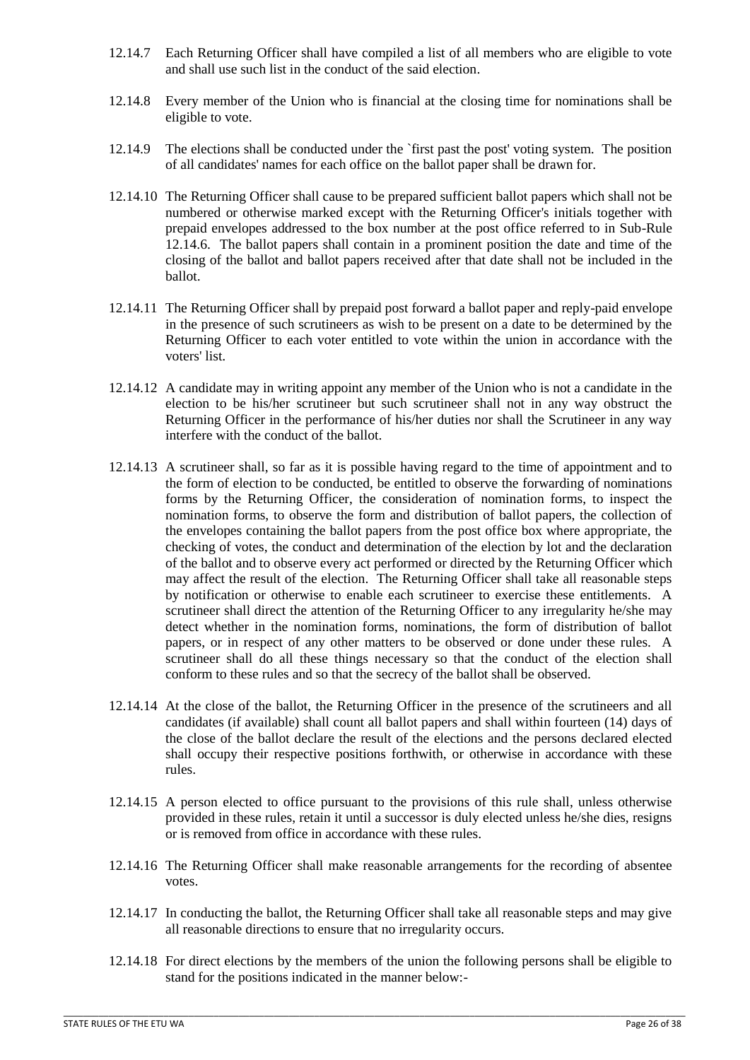- 12.14.7 Each Returning Officer shall have compiled a list of all members who are eligible to vote and shall use such list in the conduct of the said election.
- 12.14.8 Every member of the Union who is financial at the closing time for nominations shall be eligible to vote.
- 12.14.9 The elections shall be conducted under the `first past the post' voting system. The position of all candidates' names for each office on the ballot paper shall be drawn for.
- 12.14.10 The Returning Officer shall cause to be prepared sufficient ballot papers which shall not be numbered or otherwise marked except with the Returning Officer's initials together with prepaid envelopes addressed to the box number at the post office referred to in Sub-Rule 12.14.6. The ballot papers shall contain in a prominent position the date and time of the closing of the ballot and ballot papers received after that date shall not be included in the ballot.
- 12.14.11 The Returning Officer shall by prepaid post forward a ballot paper and reply-paid envelope in the presence of such scrutineers as wish to be present on a date to be determined by the Returning Officer to each voter entitled to vote within the union in accordance with the voters' list.
- 12.14.12 A candidate may in writing appoint any member of the Union who is not a candidate in the election to be his/her scrutineer but such scrutineer shall not in any way obstruct the Returning Officer in the performance of his/her duties nor shall the Scrutineer in any way interfere with the conduct of the ballot.
- 12.14.13 A scrutineer shall, so far as it is possible having regard to the time of appointment and to the form of election to be conducted, be entitled to observe the forwarding of nominations forms by the Returning Officer, the consideration of nomination forms, to inspect the nomination forms, to observe the form and distribution of ballot papers, the collection of the envelopes containing the ballot papers from the post office box where appropriate, the checking of votes, the conduct and determination of the election by lot and the declaration of the ballot and to observe every act performed or directed by the Returning Officer which may affect the result of the election. The Returning Officer shall take all reasonable steps by notification or otherwise to enable each scrutineer to exercise these entitlements. A scrutineer shall direct the attention of the Returning Officer to any irregularity he/she may detect whether in the nomination forms, nominations, the form of distribution of ballot papers, or in respect of any other matters to be observed or done under these rules. A scrutineer shall do all these things necessary so that the conduct of the election shall conform to these rules and so that the secrecy of the ballot shall be observed.
- 12.14.14 At the close of the ballot, the Returning Officer in the presence of the scrutineers and all candidates (if available) shall count all ballot papers and shall within fourteen (14) days of the close of the ballot declare the result of the elections and the persons declared elected shall occupy their respective positions forthwith, or otherwise in accordance with these rules.
- 12.14.15 A person elected to office pursuant to the provisions of this rule shall, unless otherwise provided in these rules, retain it until a successor is duly elected unless he/she dies, resigns or is removed from office in accordance with these rules.
- 12.14.16 The Returning Officer shall make reasonable arrangements for the recording of absentee votes.
- 12.14.17 In conducting the ballot, the Returning Officer shall take all reasonable steps and may give all reasonable directions to ensure that no irregularity occurs.
- 12.14.18 For direct elections by the members of the union the following persons shall be eligible to stand for the positions indicated in the manner below:-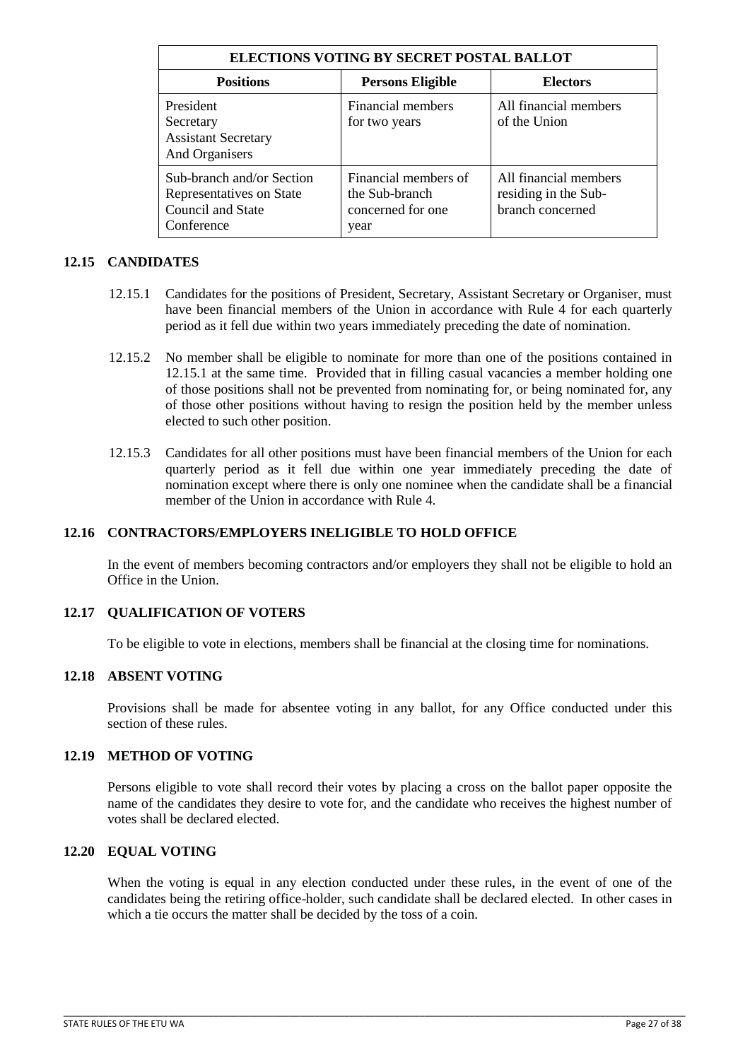| ELECTIONS VOTING BY SECRET POSTAL BALLOT                                                        |                                                                     |                                                                   |  |
|-------------------------------------------------------------------------------------------------|---------------------------------------------------------------------|-------------------------------------------------------------------|--|
| <b>Positions</b>                                                                                | <b>Persons Eligible</b>                                             | <b>Electors</b>                                                   |  |
| President<br>Secretary<br><b>Assistant Secretary</b><br>And Organisers                          | Financial members<br>for two years                                  | All financial members<br>of the Union                             |  |
| Sub-branch and/or Section<br>Representatives on State<br><b>Council and State</b><br>Conference | Financial members of<br>the Sub-branch<br>concerned for one<br>year | All financial members<br>residing in the Sub-<br>branch concerned |  |

## <span id="page-26-0"></span>**12.15 CANDIDATES**

- 12.15.1 Candidates for the positions of President, Secretary, Assistant Secretary or Organiser, must have been financial members of the Union in accordance with Rule 4 for each quarterly period as it fell due within two years immediately preceding the date of nomination.
- 12.15.2 No member shall be eligible to nominate for more than one of the positions contained in 12.15.1 at the same time. Provided that in filling casual vacancies a member holding one of those positions shall not be prevented from nominating for, or being nominated for, any of those other positions without having to resign the position held by the member unless elected to such other position.
- 12.15.3 Candidates for all other positions must have been financial members of the Union for each quarterly period as it fell due within one year immediately preceding the date of nomination except where there is only one nominee when the candidate shall be a financial member of the Union in accordance with Rule 4.

## <span id="page-26-1"></span>**12.16 CONTRACTORS/EMPLOYERS INELIGIBLE TO HOLD OFFICE**

In the event of members becoming contractors and/or employers they shall not be eligible to hold an Office in the Union.

# <span id="page-26-2"></span>**12.17 QUALIFICATION OF VOTERS**

To be eligible to vote in elections, members shall be financial at the closing time for nominations.

#### <span id="page-26-3"></span>**12.18 ABSENT VOTING**

Provisions shall be made for absentee voting in any ballot, for any Office conducted under this section of these rules.

#### <span id="page-26-4"></span>**12.19 METHOD OF VOTING**

Persons eligible to vote shall record their votes by placing a cross on the ballot paper opposite the name of the candidates they desire to vote for, and the candidate who receives the highest number of votes shall be declared elected.

#### <span id="page-26-5"></span>**12.20 EQUAL VOTING**

When the voting is equal in any election conducted under these rules, in the event of one of the candidates being the retiring office-holder, such candidate shall be declared elected. In other cases in which a tie occurs the matter shall be decided by the toss of a coin.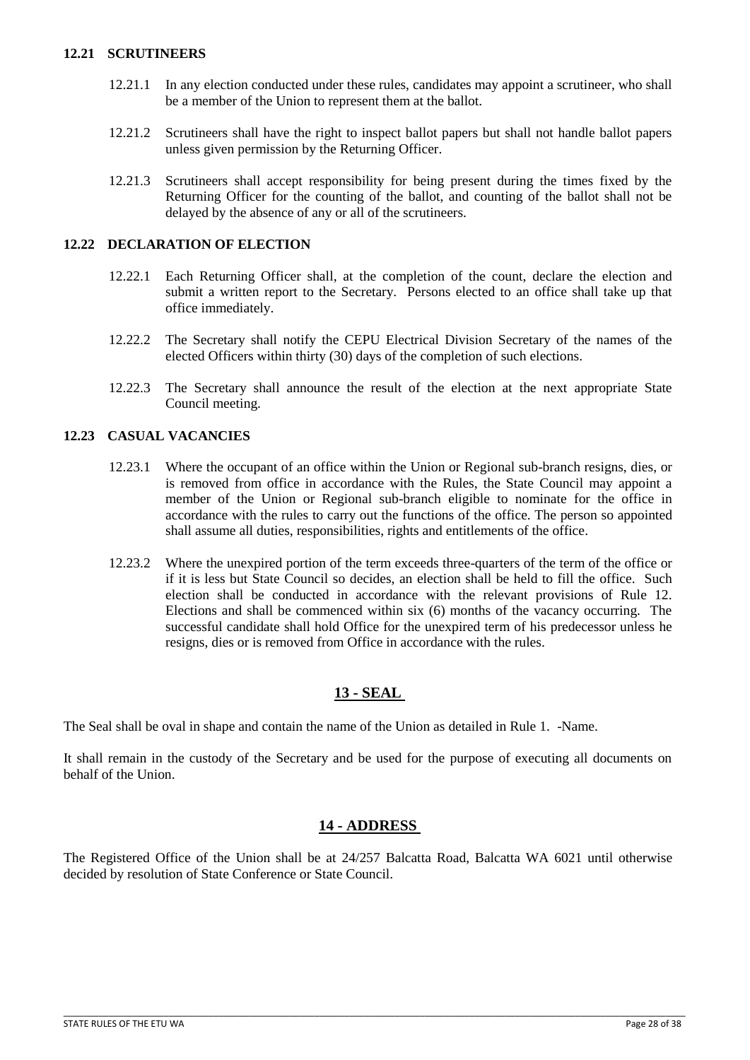#### <span id="page-27-0"></span>**12.21 SCRUTINEERS**

- 12.21.1 In any election conducted under these rules, candidates may appoint a scrutineer, who shall be a member of the Union to represent them at the ballot.
- 12.21.2 Scrutineers shall have the right to inspect ballot papers but shall not handle ballot papers unless given permission by the Returning Officer.
- 12.21.3 Scrutineers shall accept responsibility for being present during the times fixed by the Returning Officer for the counting of the ballot, and counting of the ballot shall not be delayed by the absence of any or all of the scrutineers.

## <span id="page-27-1"></span>**12.22 DECLARATION OF ELECTION**

- 12.22.1 Each Returning Officer shall, at the completion of the count, declare the election and submit a written report to the Secretary. Persons elected to an office shall take up that office immediately.
- 12.22.2 The Secretary shall notify the CEPU Electrical Division Secretary of the names of the elected Officers within thirty (30) days of the completion of such elections.
- 12.22.3 The Secretary shall announce the result of the election at the next appropriate State Council meeting.

# <span id="page-27-2"></span>**12.23 CASUAL VACANCIES**

- 12.23.1 Where the occupant of an office within the Union or Regional sub-branch resigns, dies, or is removed from office in accordance with the Rules, the State Council may appoint a member of the Union or Regional sub-branch eligible to nominate for the office in accordance with the rules to carry out the functions of the office. The person so appointed shall assume all duties, responsibilities, rights and entitlements of the office.
- 12.23.2 Where the unexpired portion of the term exceeds three-quarters of the term of the office or if it is less but State Council so decides, an election shall be held to fill the office. Such election shall be conducted in accordance with the relevant provisions of Rule 12. Elections and shall be commenced within six (6) months of the vacancy occurring. The successful candidate shall hold Office for the unexpired term of his predecessor unless he resigns, dies or is removed from Office in accordance with the rules.

# **13 - SEAL**

<span id="page-27-3"></span>The Seal shall be oval in shape and contain the name of the Union as detailed in Rule 1. -Name.

It shall remain in the custody of the Secretary and be used for the purpose of executing all documents on behalf of the Union.

# **14 - ADDRESS**

<span id="page-27-4"></span>The Registered Office of the Union shall be at 24/257 Balcatta Road, Balcatta WA 6021 until otherwise decided by resolution of State Conference or State Council.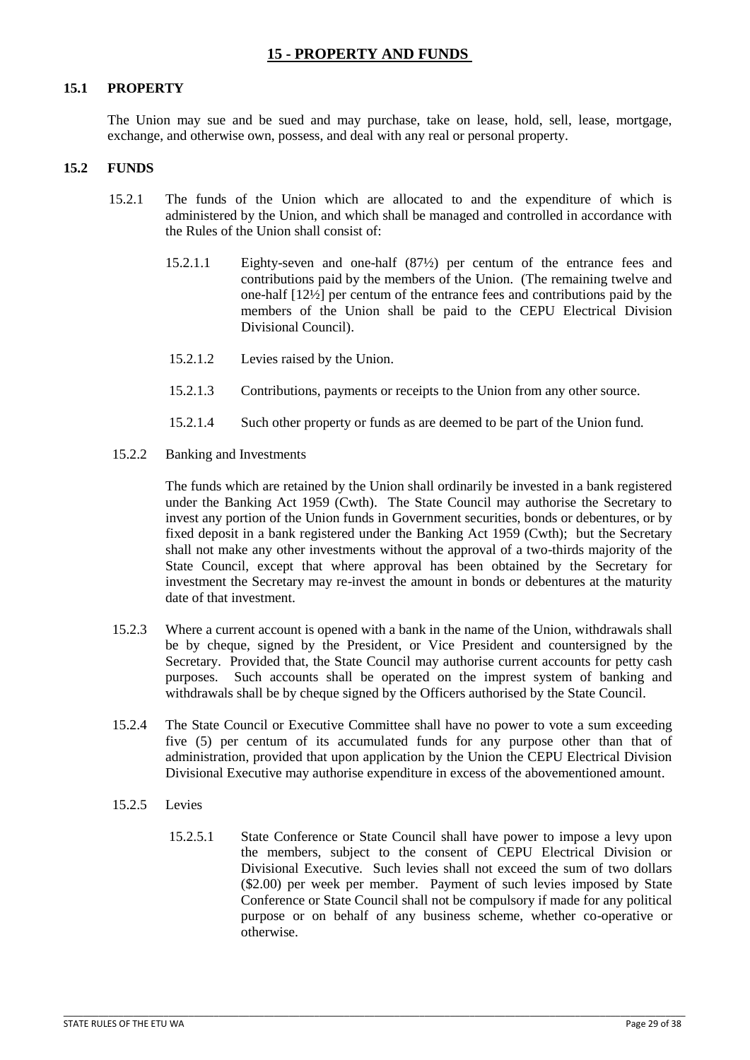# **15 - PROPERTY AND FUNDS**

#### <span id="page-28-1"></span><span id="page-28-0"></span>**15.1 PROPERTY**

The Union may sue and be sued and may purchase, take on lease, hold, sell, lease, mortgage, exchange, and otherwise own, possess, and deal with any real or personal property.

#### <span id="page-28-2"></span>**15.2 FUNDS**

- 15.2.1 The funds of the Union which are allocated to and the expenditure of which is administered by the Union, and which shall be managed and controlled in accordance with the Rules of the Union shall consist of:
	- 15.2.1.1 Eighty-seven and one-half (87½) per centum of the entrance fees and contributions paid by the members of the Union. (The remaining twelve and one-half [12½] per centum of the entrance fees and contributions paid by the members of the Union shall be paid to the CEPU Electrical Division Divisional Council).
	- 15.2.1.2 Levies raised by the Union.
	- 15.2.1.3 Contributions, payments or receipts to the Union from any other source.
	- 15.2.1.4 Such other property or funds as are deemed to be part of the Union fund.
- 15.2.2 Banking and Investments

 The funds which are retained by the Union shall ordinarily be invested in a bank registered under the Banking Act 1959 (Cwth). The State Council may authorise the Secretary to invest any portion of the Union funds in Government securities, bonds or debentures, or by fixed deposit in a bank registered under the Banking Act 1959 (Cwth); but the Secretary shall not make any other investments without the approval of a two-thirds majority of the State Council, except that where approval has been obtained by the Secretary for investment the Secretary may re-invest the amount in bonds or debentures at the maturity date of that investment.

- 15.2.3 Where a current account is opened with a bank in the name of the Union, withdrawals shall be by cheque, signed by the President, or Vice President and countersigned by the Secretary. Provided that, the State Council may authorise current accounts for petty cash purposes. Such accounts shall be operated on the imprest system of banking and withdrawals shall be by cheque signed by the Officers authorised by the State Council.
- 15.2.4 The State Council or Executive Committee shall have no power to vote a sum exceeding five (5) per centum of its accumulated funds for any purpose other than that of administration, provided that upon application by the Union the CEPU Electrical Division Divisional Executive may authorise expenditure in excess of the abovementioned amount.

- 15.2.5 Levies
	- 15.2.5.1 State Conference or State Council shall have power to impose a levy upon the members, subject to the consent of CEPU Electrical Division or Divisional Executive. Such levies shall not exceed the sum of two dollars (\$2.00) per week per member. Payment of such levies imposed by State Conference or State Council shall not be compulsory if made for any political purpose or on behalf of any business scheme, whether co-operative or otherwise.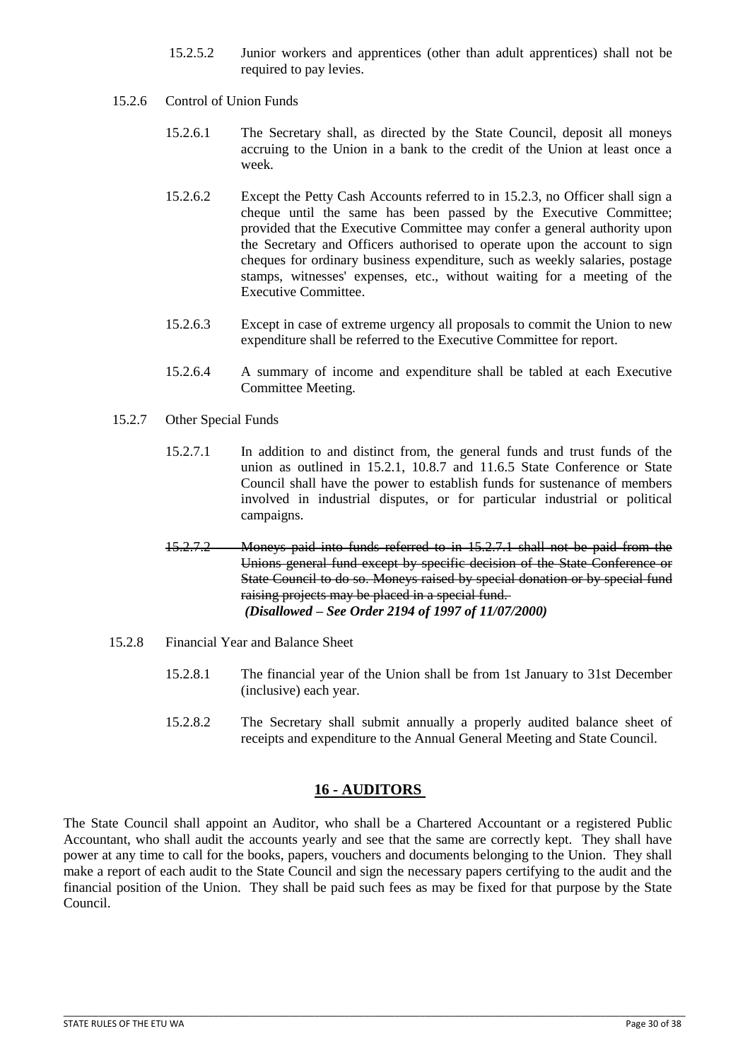- 15.2.5.2 Junior workers and apprentices (other than adult apprentices) shall not be required to pay levies.
- 15.2.6 Control of Union Funds
	- 15.2.6.1 The Secretary shall, as directed by the State Council, deposit all moneys accruing to the Union in a bank to the credit of the Union at least once a week.
	- 15.2.6.2 Except the Petty Cash Accounts referred to in 15.2.3, no Officer shall sign a cheque until the same has been passed by the Executive Committee; provided that the Executive Committee may confer a general authority upon the Secretary and Officers authorised to operate upon the account to sign cheques for ordinary business expenditure, such as weekly salaries, postage stamps, witnesses' expenses, etc., without waiting for a meeting of the Executive Committee.
	- 15.2.6.3 Except in case of extreme urgency all proposals to commit the Union to new expenditure shall be referred to the Executive Committee for report.
	- 15.2.6.4 A summary of income and expenditure shall be tabled at each Executive Committee Meeting.
- 15.2.7 Other Special Funds
	- 15.2.7.1 In addition to and distinct from, the general funds and trust funds of the union as outlined in 15.2.1, 10.8.7 and 11.6.5 State Conference or State Council shall have the power to establish funds for sustenance of members involved in industrial disputes, or for particular industrial or political campaigns.
	- 15.2.7.2 Moneys paid into funds referred to in 15.2.7.1 shall not be paid from the Unions general fund except by specific decision of the State Conference or State Council to do so. Moneys raised by special donation or by special fund raising projects may be placed in a special fund.  *(Disallowed – See Order 2194 of 1997 of 11/07/2000)*
- 15.2.8 Financial Year and Balance Sheet
	- 15.2.8.1 The financial year of the Union shall be from 1st January to 31st December (inclusive) each year.
	- 15.2.8.2 The Secretary shall submit annually a properly audited balance sheet of receipts and expenditure to the Annual General Meeting and State Council.

# **16 - AUDITORS**

<span id="page-29-0"></span>The State Council shall appoint an Auditor, who shall be a Chartered Accountant or a registered Public Accountant, who shall audit the accounts yearly and see that the same are correctly kept. They shall have power at any time to call for the books, papers, vouchers and documents belonging to the Union. They shall make a report of each audit to the State Council and sign the necessary papers certifying to the audit and the financial position of the Union. They shall be paid such fees as may be fixed for that purpose by the State Council.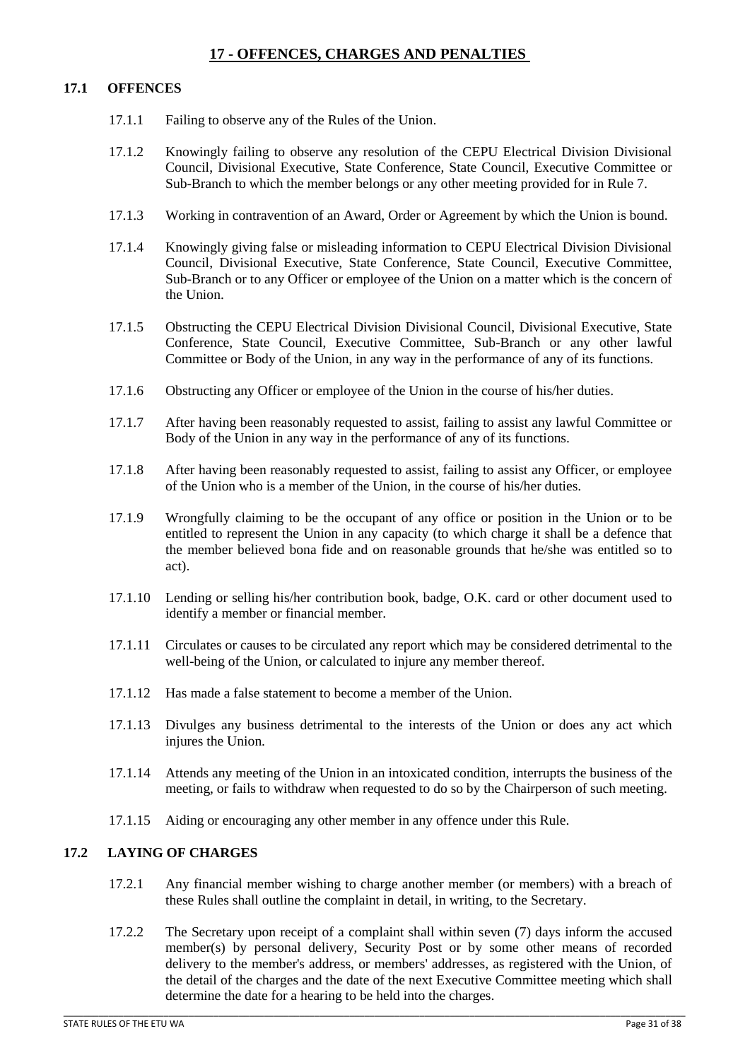# **17 - OFFENCES, CHARGES AND PENALTIES**

#### <span id="page-30-1"></span><span id="page-30-0"></span>**17.1 OFFENCES**

- 17.1.1 Failing to observe any of the Rules of the Union.
- 17.1.2 Knowingly failing to observe any resolution of the CEPU Electrical Division Divisional Council, Divisional Executive, State Conference, State Council, Executive Committee or Sub-Branch to which the member belongs or any other meeting provided for in Rule 7.
- 17.1.3 Working in contravention of an Award, Order or Agreement by which the Union is bound.
- 17.1.4 Knowingly giving false or misleading information to CEPU Electrical Division Divisional Council, Divisional Executive, State Conference, State Council, Executive Committee, Sub-Branch or to any Officer or employee of the Union on a matter which is the concern of the Union.
- 17.1.5 Obstructing the CEPU Electrical Division Divisional Council, Divisional Executive, State Conference, State Council, Executive Committee, Sub-Branch or any other lawful Committee or Body of the Union, in any way in the performance of any of its functions.
- 17.1.6 Obstructing any Officer or employee of the Union in the course of his/her duties.
- 17.1.7 After having been reasonably requested to assist, failing to assist any lawful Committee or Body of the Union in any way in the performance of any of its functions.
- 17.1.8 After having been reasonably requested to assist, failing to assist any Officer, or employee of the Union who is a member of the Union, in the course of his/her duties.
- 17.1.9 Wrongfully claiming to be the occupant of any office or position in the Union or to be entitled to represent the Union in any capacity (to which charge it shall be a defence that the member believed bona fide and on reasonable grounds that he/she was entitled so to act).
- 17.1.10 Lending or selling his/her contribution book, badge, O.K. card or other document used to identify a member or financial member.
- 17.1.11 Circulates or causes to be circulated any report which may be considered detrimental to the well-being of the Union, or calculated to injure any member thereof.
- 17.1.12 Has made a false statement to become a member of the Union.
- 17.1.13 Divulges any business detrimental to the interests of the Union or does any act which injures the Union.
- 17.1.14 Attends any meeting of the Union in an intoxicated condition, interrupts the business of the meeting, or fails to withdraw when requested to do so by the Chairperson of such meeting.
- 17.1.15 Aiding or encouraging any other member in any offence under this Rule.

#### <span id="page-30-2"></span>**17.2 LAYING OF CHARGES**

- 17.2.1 Any financial member wishing to charge another member (or members) with a breach of these Rules shall outline the complaint in detail, in writing, to the Secretary.
- 17.2.2 The Secretary upon receipt of a complaint shall within seven (7) days inform the accused member(s) by personal delivery, Security Post or by some other means of recorded delivery to the member's address, or members' addresses, as registered with the Union, of the detail of the charges and the date of the next Executive Committee meeting which shall determine the date for a hearing to be held into the charges.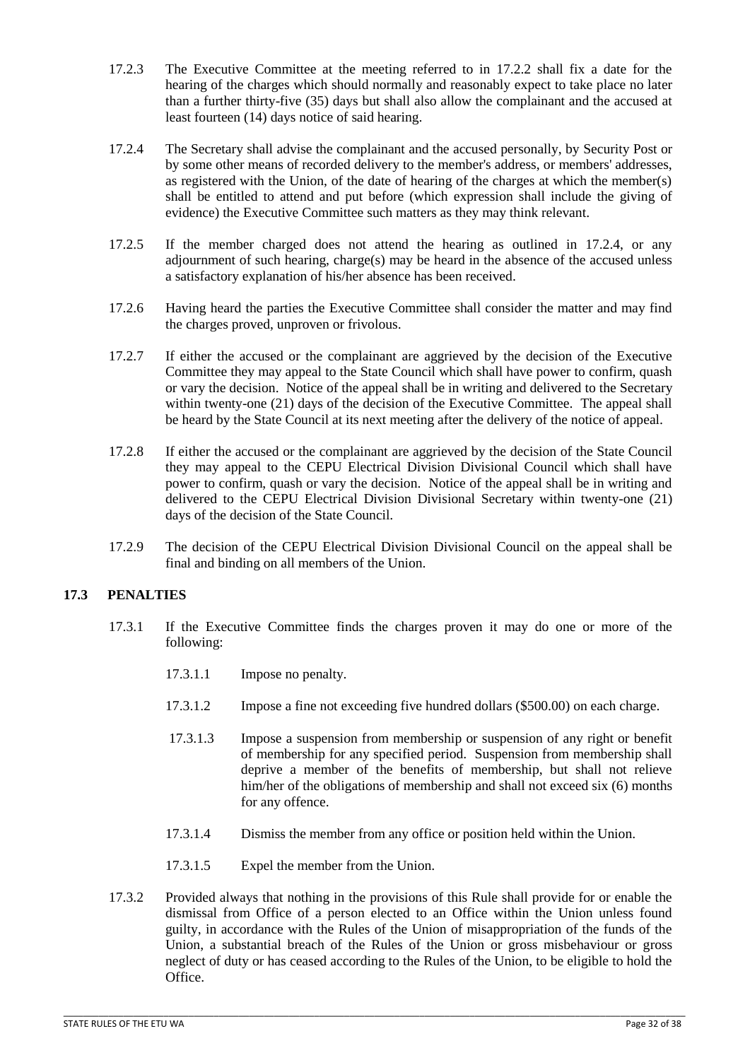- 17.2.3 The Executive Committee at the meeting referred to in 17.2.2 shall fix a date for the hearing of the charges which should normally and reasonably expect to take place no later than a further thirty-five (35) days but shall also allow the complainant and the accused at least fourteen (14) days notice of said hearing.
- 17.2.4 The Secretary shall advise the complainant and the accused personally, by Security Post or by some other means of recorded delivery to the member's address, or members' addresses, as registered with the Union, of the date of hearing of the charges at which the member(s) shall be entitled to attend and put before (which expression shall include the giving of evidence) the Executive Committee such matters as they may think relevant.
- 17.2.5 If the member charged does not attend the hearing as outlined in 17.2.4, or any adjournment of such hearing, charge(s) may be heard in the absence of the accused unless a satisfactory explanation of his/her absence has been received.
- 17.2.6 Having heard the parties the Executive Committee shall consider the matter and may find the charges proved, unproven or frivolous.
- 17.2.7 If either the accused or the complainant are aggrieved by the decision of the Executive Committee they may appeal to the State Council which shall have power to confirm, quash or vary the decision. Notice of the appeal shall be in writing and delivered to the Secretary within twenty-one (21) days of the decision of the Executive Committee. The appeal shall be heard by the State Council at its next meeting after the delivery of the notice of appeal.
- 17.2.8 If either the accused or the complainant are aggrieved by the decision of the State Council they may appeal to the CEPU Electrical Division Divisional Council which shall have power to confirm, quash or vary the decision. Notice of the appeal shall be in writing and delivered to the CEPU Electrical Division Divisional Secretary within twenty-one (21) days of the decision of the State Council.
- 17.2.9 The decision of the CEPU Electrical Division Divisional Council on the appeal shall be final and binding on all members of the Union.

# <span id="page-31-0"></span>**17.3 PENALTIES**

- 17.3.1 If the Executive Committee finds the charges proven it may do one or more of the following:
	- 17.3.1.1 Impose no penalty.
	- 17.3.1.2 Impose a fine not exceeding five hundred dollars (\$500.00) on each charge.
	- 17.3.1.3 Impose a suspension from membership or suspension of any right or benefit of membership for any specified period. Suspension from membership shall deprive a member of the benefits of membership, but shall not relieve him/her of the obligations of membership and shall not exceed six (6) months for any offence.
	- 17.3.1.4 Dismiss the member from any office or position held within the Union.
	- 17.3.1.5 Expel the member from the Union.
- 17.3.2 Provided always that nothing in the provisions of this Rule shall provide for or enable the dismissal from Office of a person elected to an Office within the Union unless found guilty, in accordance with the Rules of the Union of misappropriation of the funds of the Union, a substantial breach of the Rules of the Union or gross misbehaviour or gross neglect of duty or has ceased according to the Rules of the Union, to be eligible to hold the Office.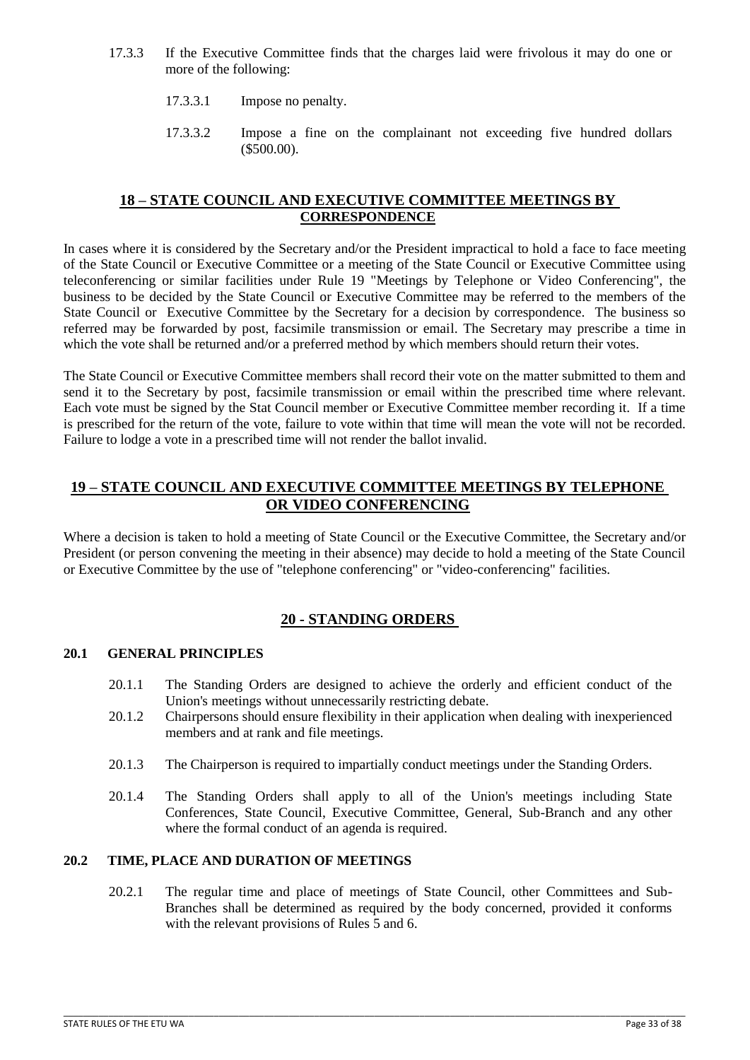- 17.3.3 If the Executive Committee finds that the charges laid were frivolous it may do one or more of the following:
	- 17.3.3.1 Impose no penalty.
	- 17.3.3.2 Impose a fine on the complainant not exceeding five hundred dollars (\$500.00).

# **18 – STATE COUNCIL AND EXECUTIVE COMMITTEE MEETINGS BY CORRESPONDENCE**

<span id="page-32-0"></span>In cases where it is considered by the Secretary and/or the President impractical to hold a face to face meeting of the State Council or Executive Committee or a meeting of the State Council or Executive Committee using teleconferencing or similar facilities under Rule 19 "Meetings by Telephone or Video Conferencing", the business to be decided by the State Council or Executive Committee may be referred to the members of the State Council or Executive Committee by the Secretary for a decision by correspondence. The business so referred may be forwarded by post, facsimile transmission or email. The Secretary may prescribe a time in which the vote shall be returned and/or a preferred method by which members should return their votes.

The State Council or Executive Committee members shall record their vote on the matter submitted to them and send it to the Secretary by post, facsimile transmission or email within the prescribed time where relevant. Each vote must be signed by the Stat Council member or Executive Committee member recording it. If a time is prescribed for the return of the vote, failure to vote within that time will mean the vote will not be recorded. Failure to lodge a vote in a prescribed time will not render the ballot invalid.

# <span id="page-32-1"></span>**19 – STATE COUNCIL AND EXECUTIVE COMMITTEE MEETINGS BY TELEPHONE OR VIDEO CONFERENCING**

Where a decision is taken to hold a meeting of State Council or the Executive Committee, the Secretary and/or President (or person convening the meeting in their absence) may decide to hold a meeting of the State Council or Executive Committee by the use of "telephone conferencing" or "video-conferencing" facilities.

# **20 - STANDING ORDERS**

#### <span id="page-32-3"></span><span id="page-32-2"></span>**20.1 GENERAL PRINCIPLES**

- 20.1.1 The Standing Orders are designed to achieve the orderly and efficient conduct of the Union's meetings without unnecessarily restricting debate.
- 20.1.2 Chairpersons should ensure flexibility in their application when dealing with inexperienced members and at rank and file meetings.
- 20.1.3 The Chairperson is required to impartially conduct meetings under the Standing Orders.
- 20.1.4 The Standing Orders shall apply to all of the Union's meetings including State Conferences, State Council, Executive Committee, General, Sub-Branch and any other where the formal conduct of an agenda is required.

# <span id="page-32-4"></span>**20.2 TIME, PLACE AND DURATION OF MEETINGS**

20.2.1 The regular time and place of meetings of State Council, other Committees and Sub-Branches shall be determined as required by the body concerned, provided it conforms with the relevant provisions of Rules 5 and 6.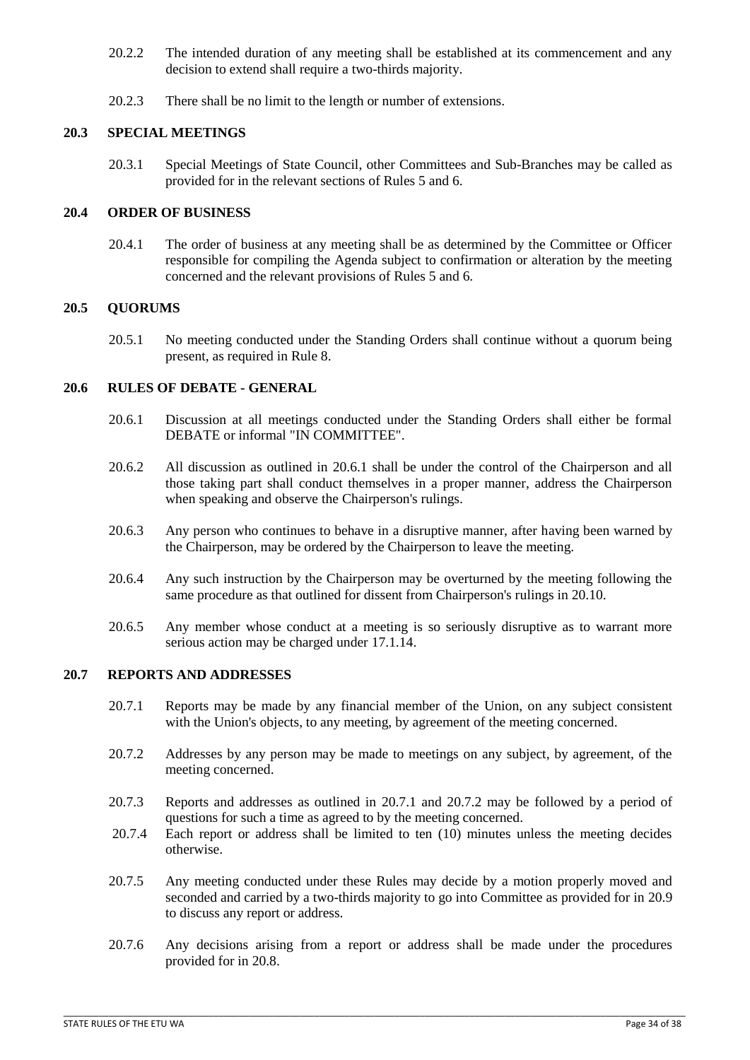- 20.2.2 The intended duration of any meeting shall be established at its commencement and any decision to extend shall require a two-thirds majority.
- 20.2.3 There shall be no limit to the length or number of extensions.

# <span id="page-33-0"></span>**20.3 SPECIAL MEETINGS**

20.3.1 Special Meetings of State Council, other Committees and Sub-Branches may be called as provided for in the relevant sections of Rules 5 and 6.

### <span id="page-33-1"></span>**20.4 ORDER OF BUSINESS**

20.4.1 The order of business at any meeting shall be as determined by the Committee or Officer responsible for compiling the Agenda subject to confirmation or alteration by the meeting concerned and the relevant provisions of Rules 5 and 6.

## <span id="page-33-2"></span>**20.5 QUORUMS**

20.5.1 No meeting conducted under the Standing Orders shall continue without a quorum being present, as required in Rule 8.

## <span id="page-33-3"></span>**20.6 RULES OF DEBATE - GENERAL**

- 20.6.1 Discussion at all meetings conducted under the Standing Orders shall either be formal DEBATE or informal "IN COMMITTEE".
- 20.6.2 All discussion as outlined in 20.6.1 shall be under the control of the Chairperson and all those taking part shall conduct themselves in a proper manner, address the Chairperson when speaking and observe the Chairperson's rulings.
- 20.6.3 Any person who continues to behave in a disruptive manner, after having been warned by the Chairperson, may be ordered by the Chairperson to leave the meeting.
- 20.6.4 Any such instruction by the Chairperson may be overturned by the meeting following the same procedure as that outlined for dissent from Chairperson's rulings in 20.10.
- 20.6.5 Any member whose conduct at a meeting is so seriously disruptive as to warrant more serious action may be charged under 17.1.14.

#### <span id="page-33-4"></span>**20.7 REPORTS AND ADDRESSES**

- 20.7.1 Reports may be made by any financial member of the Union, on any subject consistent with the Union's objects, to any meeting, by agreement of the meeting concerned.
- 20.7.2 Addresses by any person may be made to meetings on any subject, by agreement, of the meeting concerned.
- 20.7.3 Reports and addresses as outlined in 20.7.1 and 20.7.2 may be followed by a period of questions for such a time as agreed to by the meeting concerned.
- 20.7.4 Each report or address shall be limited to ten (10) minutes unless the meeting decides otherwise.
- 20.7.5 Any meeting conducted under these Rules may decide by a motion properly moved and seconded and carried by a two-thirds majority to go into Committee as provided for in 20.9 to discuss any report or address.
- 20.7.6 Any decisions arising from a report or address shall be made under the procedures provided for in 20.8.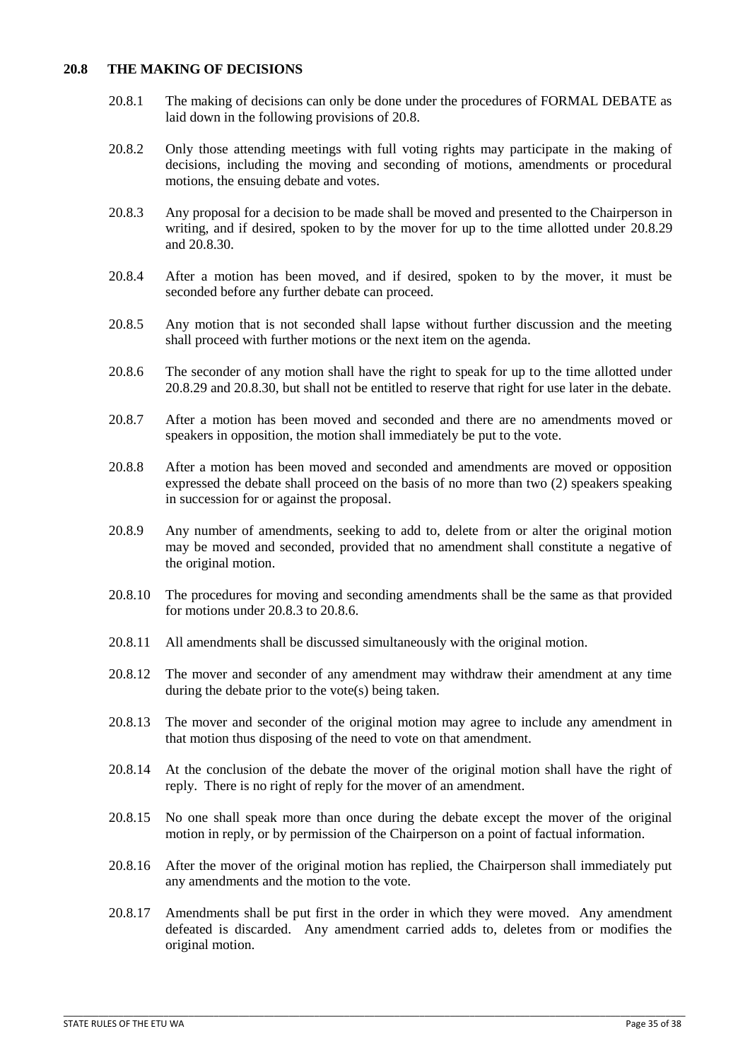#### <span id="page-34-0"></span>**20.8 THE MAKING OF DECISIONS**

- 20.8.1 The making of decisions can only be done under the procedures of FORMAL DEBATE as laid down in the following provisions of 20.8.
- 20.8.2 Only those attending meetings with full voting rights may participate in the making of decisions, including the moving and seconding of motions, amendments or procedural motions, the ensuing debate and votes.
- 20.8.3 Any proposal for a decision to be made shall be moved and presented to the Chairperson in writing, and if desired, spoken to by the mover for up to the time allotted under 20.8.29 and 20.8.30.
- 20.8.4 After a motion has been moved, and if desired, spoken to by the mover, it must be seconded before any further debate can proceed.
- 20.8.5 Any motion that is not seconded shall lapse without further discussion and the meeting shall proceed with further motions or the next item on the agenda.
- 20.8.6 The seconder of any motion shall have the right to speak for up to the time allotted under 20.8.29 and 20.8.30, but shall not be entitled to reserve that right for use later in the debate.
- 20.8.7 After a motion has been moved and seconded and there are no amendments moved or speakers in opposition, the motion shall immediately be put to the vote.
- 20.8.8 After a motion has been moved and seconded and amendments are moved or opposition expressed the debate shall proceed on the basis of no more than two (2) speakers speaking in succession for or against the proposal.
- 20.8.9 Any number of amendments, seeking to add to, delete from or alter the original motion may be moved and seconded, provided that no amendment shall constitute a negative of the original motion.
- 20.8.10 The procedures for moving and seconding amendments shall be the same as that provided for motions under 20.8.3 to 20.8.6.
- 20.8.11 All amendments shall be discussed simultaneously with the original motion.
- 20.8.12 The mover and seconder of any amendment may withdraw their amendment at any time during the debate prior to the vote(s) being taken.
- 20.8.13 The mover and seconder of the original motion may agree to include any amendment in that motion thus disposing of the need to vote on that amendment.
- 20.8.14 At the conclusion of the debate the mover of the original motion shall have the right of reply. There is no right of reply for the mover of an amendment.
- 20.8.15 No one shall speak more than once during the debate except the mover of the original motion in reply, or by permission of the Chairperson on a point of factual information.
- 20.8.16 After the mover of the original motion has replied, the Chairperson shall immediately put any amendments and the motion to the vote.
- 20.8.17 Amendments shall be put first in the order in which they were moved. Any amendment defeated is discarded. Any amendment carried adds to, deletes from or modifies the original motion.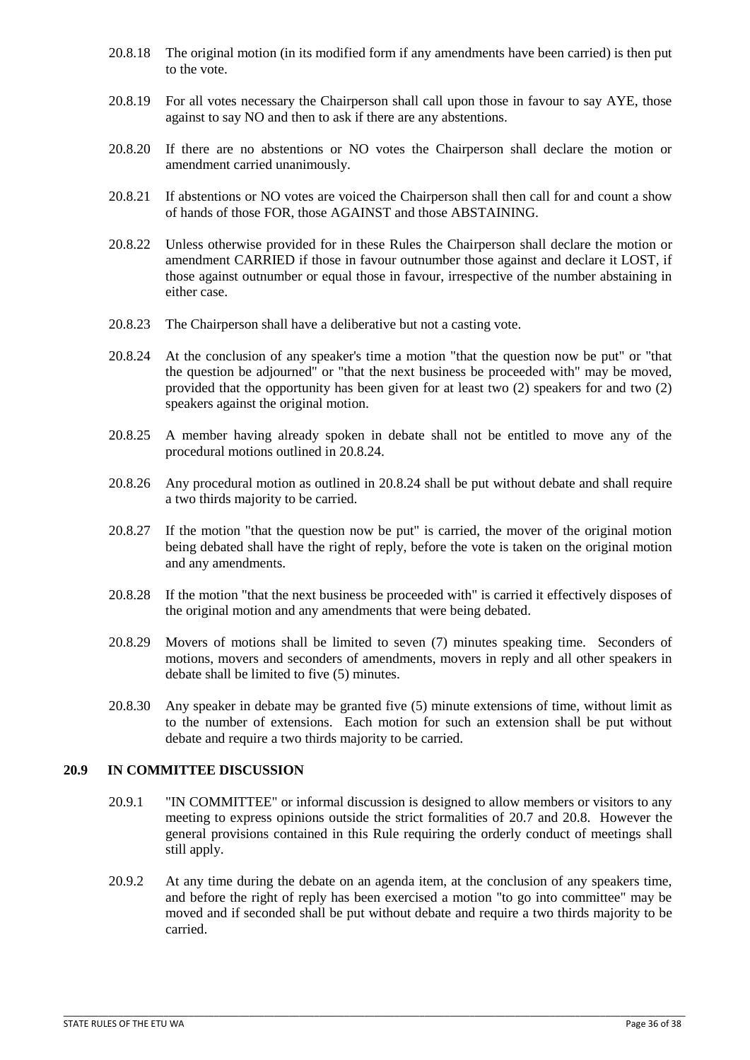- 20.8.18 The original motion (in its modified form if any amendments have been carried) is then put to the vote.
- 20.8.19 For all votes necessary the Chairperson shall call upon those in favour to say AYE, those against to say NO and then to ask if there are any abstentions.
- 20.8.20 If there are no abstentions or NO votes the Chairperson shall declare the motion or amendment carried unanimously.
- 20.8.21 If abstentions or NO votes are voiced the Chairperson shall then call for and count a show of hands of those FOR, those AGAINST and those ABSTAINING.
- 20.8.22 Unless otherwise provided for in these Rules the Chairperson shall declare the motion or amendment CARRIED if those in favour outnumber those against and declare it LOST, if those against outnumber or equal those in favour, irrespective of the number abstaining in either case.
- 20.8.23 The Chairperson shall have a deliberative but not a casting vote.
- 20.8.24 At the conclusion of any speaker's time a motion "that the question now be put" or "that the question be adjourned" or "that the next business be proceeded with" may be moved, provided that the opportunity has been given for at least two (2) speakers for and two (2) speakers against the original motion.
- 20.8.25 A member having already spoken in debate shall not be entitled to move any of the procedural motions outlined in 20.8.24.
- 20.8.26 Any procedural motion as outlined in 20.8.24 shall be put without debate and shall require a two thirds majority to be carried.
- 20.8.27 If the motion "that the question now be put" is carried, the mover of the original motion being debated shall have the right of reply, before the vote is taken on the original motion and any amendments.
- 20.8.28 If the motion "that the next business be proceeded with" is carried it effectively disposes of the original motion and any amendments that were being debated.
- 20.8.29 Movers of motions shall be limited to seven (7) minutes speaking time. Seconders of motions, movers and seconders of amendments, movers in reply and all other speakers in debate shall be limited to five (5) minutes.
- 20.8.30 Any speaker in debate may be granted five (5) minute extensions of time, without limit as to the number of extensions. Each motion for such an extension shall be put without debate and require a two thirds majority to be carried.

# <span id="page-35-0"></span>**20.9 IN COMMITTEE DISCUSSION**

- 20.9.1 "IN COMMITTEE" or informal discussion is designed to allow members or visitors to any meeting to express opinions outside the strict formalities of 20.7 and 20.8. However the general provisions contained in this Rule requiring the orderly conduct of meetings shall still apply.
- 20.9.2 At any time during the debate on an agenda item, at the conclusion of any speakers time, and before the right of reply has been exercised a motion "to go into committee" may be moved and if seconded shall be put without debate and require a two thirds majority to be carried.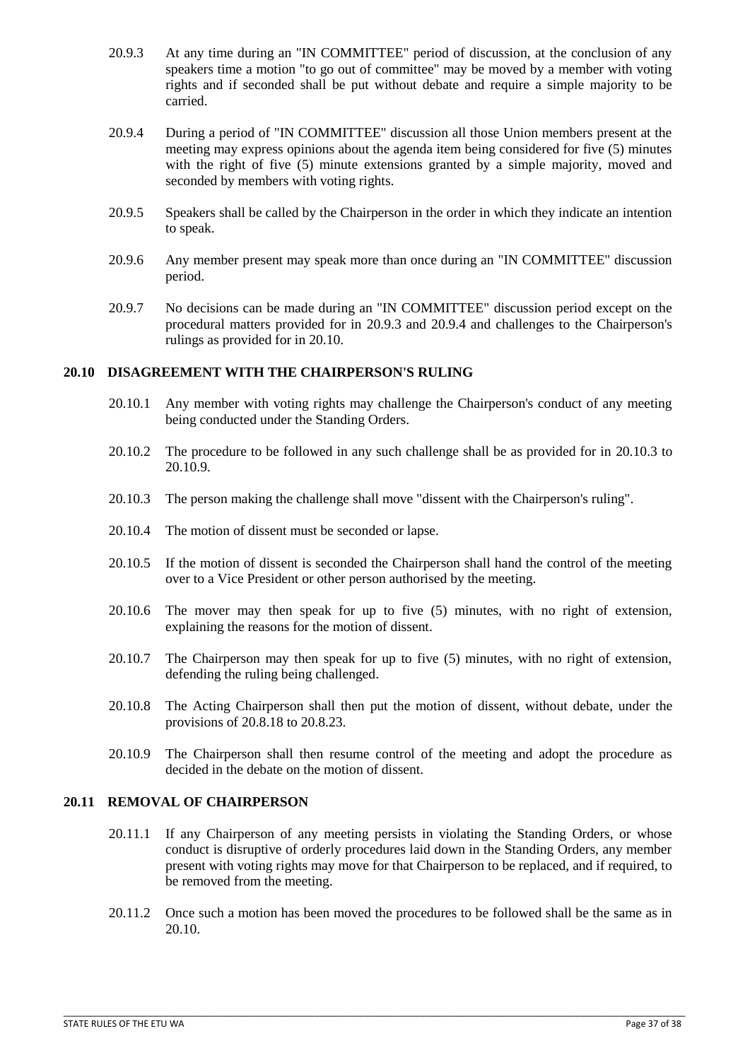- 20.9.3 At any time during an "IN COMMITTEE" period of discussion, at the conclusion of any speakers time a motion "to go out of committee" may be moved by a member with voting rights and if seconded shall be put without debate and require a simple majority to be carried.
- 20.9.4 During a period of "IN COMMITTEE" discussion all those Union members present at the meeting may express opinions about the agenda item being considered for five (5) minutes with the right of five (5) minute extensions granted by a simple majority, moved and seconded by members with voting rights.
- 20.9.5 Speakers shall be called by the Chairperson in the order in which they indicate an intention to speak.
- 20.9.6 Any member present may speak more than once during an "IN COMMITTEE" discussion period.
- 20.9.7 No decisions can be made during an "IN COMMITTEE" discussion period except on the procedural matters provided for in 20.9.3 and 20.9.4 and challenges to the Chairperson's rulings as provided for in 20.10.

#### <span id="page-36-0"></span>**20.10 DISAGREEMENT WITH THE CHAIRPERSON'S RULING**

- 20.10.1 Any member with voting rights may challenge the Chairperson's conduct of any meeting being conducted under the Standing Orders.
- 20.10.2 The procedure to be followed in any such challenge shall be as provided for in 20.10.3 to 20.10.9.
- 20.10.3 The person making the challenge shall move "dissent with the Chairperson's ruling".
- 20.10.4 The motion of dissent must be seconded or lapse.
- 20.10.5 If the motion of dissent is seconded the Chairperson shall hand the control of the meeting over to a Vice President or other person authorised by the meeting.
- 20.10.6 The mover may then speak for up to five (5) minutes, with no right of extension, explaining the reasons for the motion of dissent.
- 20.10.7 The Chairperson may then speak for up to five (5) minutes, with no right of extension, defending the ruling being challenged.
- 20.10.8 The Acting Chairperson shall then put the motion of dissent, without debate, under the provisions of 20.8.18 to 20.8.23.
- 20.10.9 The Chairperson shall then resume control of the meeting and adopt the procedure as decided in the debate on the motion of dissent.

#### <span id="page-36-1"></span>**20.11 REMOVAL OF CHAIRPERSON**

- 20.11.1 If any Chairperson of any meeting persists in violating the Standing Orders, or whose conduct is disruptive of orderly procedures laid down in the Standing Orders, any member present with voting rights may move for that Chairperson to be replaced, and if required, to be removed from the meeting.
- 20.11.2 Once such a motion has been moved the procedures to be followed shall be the same as in 20.10.